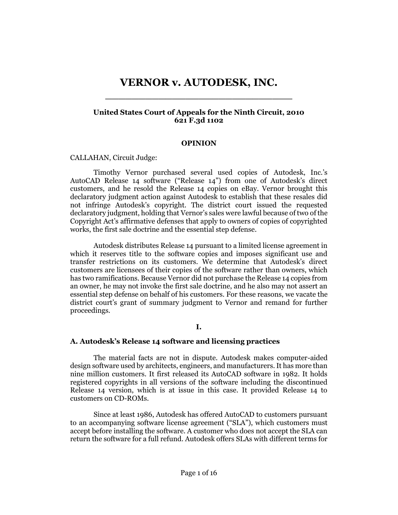# **VERNOR v. AUTODESK, INC.** \_\_\_\_\_\_\_\_\_\_\_\_\_\_\_\_\_\_\_\_\_\_\_\_\_\_\_\_

# **United States Court of Appeals for the Ninth Circuit, 2010 621 F.3d 1102**

#### **OPINION**

[CALLAHAN,](http://www.westlaw.com/Link/Document/FullText?findType=h&pubNum=176284&cite=0333278001&originatingDoc=I30f3e343bcb011df89d8bf2e8566150b&refType=RQ&originationContext=document&vr=3.0&rs=cblt1.0&transitionType=DocumentItem&contextData=(sc.Default)) Circuit Judge:

Timothy Vernor purchased several used copies of Autodesk, Inc.'s AutoCAD Release 14 software ("Release 14") from one of Autodesk's direct customers, and he resold the Release 14 copies on eBay. Vernor brought this declaratory judgment action against Autodesk to establish that these resales did not infringe Autodesk's copyright. The district court issued the requested declaratory judgment, holding that Vernor's sales were lawful because of two of the Copyright Act's affirmative defenses that apply to owners of copies of copyrighted works, the first sale doctrine and the essential step defense.

Autodesk distributes Release 14 pursuant to a limited license agreement in which it reserves title to the software copies and imposes significant use and transfer restrictions on its customers. We determine that Autodesk's direct customers are licensees of their copies of the software rather than owners, which has two ramifications. Because Vernor did not purchase the Release 14 copies from an owner, he may not invoke the first sale doctrine, and he also may not assert an essential step defense on behalf of his customers. For these reasons, we vacate the district court's grant of summary judgment to Vernor and remand for further proceedings.

# **I.**

## **A. Autodesk's Release 14 software and licensing practices**

The material facts are not in dispute. Autodesk makes computer-aided design software used by architects, engineers, and manufacturers. It has more than nine million customers. It first released its AutoCAD software in 1982. It holds registered copyrights in all versions of the software including the discontinued Release 14 version, which is at issue in this case. It provided Release 14 to customers on CD-ROMs.

Since at least 1986, Autodesk has offered AutoCAD to customers pursuant to an accompanying software license agreement ("SLA"), which customers must accept before installing the software. A customer who does not accept the SLA can return the software for a full refund. Autodesk offers SLAs with different terms for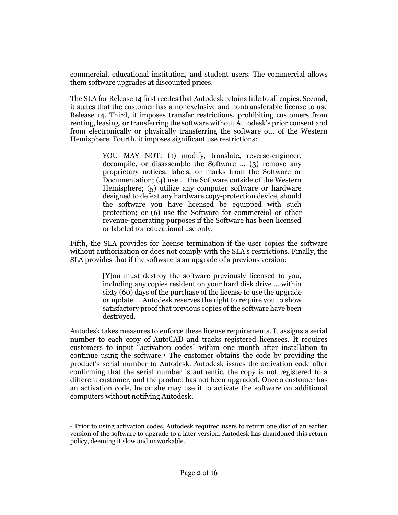commercial, educational institution, and student users. The commercial allows them software upgrades at discounted prices.

The SLA for Release 14 first recites that Autodesk retains title to all copies. Second, it states that the customer has a nonexclusive and nontransferable license to use Release 14. Third, it imposes transfer restrictions, prohibiting customers from renting, leasing, or transferring the software without Autodesk's prior consent and from electronically or physically transferring the software out of the Western Hemisphere. Fourth, it imposes significant use restrictions:

> YOU MAY NOT: (1) modify, translate, reverse-engineer, decompile, or disassemble the Software ... (3) remove any proprietary notices, labels, or marks from the Software or Documentation; (4) use ... the Software outside of the Western Hemisphere; (5) utilize any computer software or hardware designed to defeat any hardware copy-protection device, should the software you have licensed be equipped with such protection; or (6) use the Software for commercial or other revenue-generating purposes if the Software has been licensed or labeled for educational use only.

Fifth, the SLA provides for license termination if the user copies the software without authorization or does not comply with the SLA's restrictions. Finally, the SLA provides that if the software is an upgrade of a previous version:

> [Y]ou must destroy the software previously licensed to you, including any copies resident on your hard disk drive ... within sixty (60) days of the purchase of the license to use the upgrade or update.... Autodesk reserves the right to require you to show satisfactory proof that previous copies of the software have been destroyed.

Autodesk takes measures to enforce these license requirements. It assigns a serial number to each copy of AutoCAD and tracks registered licensees. It requires customers to input "activation codes" within one month after installation to continue using the software. <sup>1</sup> The customer obtains the code by providing the product's serial number to Autodesk. Autodesk issues the activation code after confirming that the serial number is authentic, the copy is not registered to a different customer, and the product has not been upgraded. Once a customer has an activation code, he or she may use it to activate the software on additional computers without notifying Autodesk.

l

<sup>1</sup> Prior to using activation codes, Autodesk required users to return one disc of an earlier version of the software to upgrade to a later version. Autodesk has abandoned this return policy, deeming it slow and unworkable.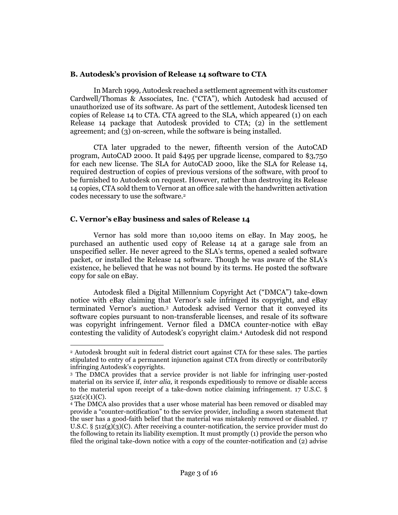## **B. Autodesk's provision of Release 14 software to CTA**

In March 1999, Autodesk reached a settlement agreement with its customer Cardwell/Thomas & Associates, Inc. ("CTA"), which Autodesk had accused of unauthorized use of its software. As part of the settlement, Autodesk licensed ten copies of Release 14 to CTA. CTA agreed to the SLA, which appeared (1) on each Release 14 package that Autodesk provided to CTA; (2) in the settlement agreement; and (3) on-screen, while the software is being installed.

CTA later upgraded to the newer, fifteenth version of the AutoCAD program, AutoCAD 2000. It paid \$495 per upgrade license, compared to \$3,750 for each new license. The SLA for AutoCAD 2000, like the SLA for Release 14, required destruction of copies of previous versions of the software, with proof to be furnished to Autodesk on request. However, rather than destroying its Release 14 copies, CTA sold them to Vernor at an office sale with the handwritten activation codes necessary to use the software.<sup>2</sup>

# **C. Vernor's eBay business and sales of Release 14**

l

Vernor has sold more than 10,000 items on eBay. In May 2005, he purchased an authentic used copy of Release 14 at a garage sale from an unspecified seller. He never agreed to the SLA's terms, opened a sealed software packet, or installed the Release 14 software. Though he was aware of the SLA's existence, he believed that he was not bound by its terms. He posted the software copy for sale on eBay.

Autodesk filed a Digital Millennium Copyright Act ("DMCA") take-down notice with eBay claiming that Vernor's sale infringed its copyright, and eBay terminated Vernor's auction.<sup>3</sup> Autodesk advised Vernor that it conveyed its software copies pursuant to non-transferable licenses, and resale of its software was copyright infringement. Vernor filed a DMCA counter-notice with eBay contesting the validity of Autodesk's copyright claim.<sup>4</sup> Autodesk did not respond

<sup>2</sup> Autodesk brought suit in federal district court against CTA for these sales. The parties stipulated to entry of a permanent injunction against CTA from directly or contributorily infringing Autodesk's copyrights.

<sup>3</sup> The DMCA provides that a service provider is not liable for infringing user-posted material on its service if, *inter alia,* it responds expeditiously to remove or disable access to the material upon receipt of a take-down notice claiming infringement. [17 U.S.C. §](http://www.westlaw.com/Link/Document/FullText?findType=L&pubNum=1000546&cite=17USCAS512&originatingDoc=I30f3e343bcb011df89d8bf2e8566150b&refType=RB&originationContext=document&vr=3.0&rs=cblt1.0&transitionType=DocumentItem&contextData=(sc.Default)#co_pp_4e350000f8fd7)   $512(c)(1)(C)$ .

<sup>4</sup> The DMCA also provides that a user whose material has been removed or disabled may provide a "counter-notification" to the service provider, including a sworn statement that the user has a good-faith belief that the material was mistakenly removed or disabled. [17](http://www.westlaw.com/Link/Document/FullText?findType=L&pubNum=1000546&cite=17USCAS512&originatingDoc=I30f3e343bcb011df89d8bf2e8566150b&refType=RB&originationContext=document&vr=3.0&rs=cblt1.0&transitionType=DocumentItem&contextData=(sc.Default)#co_pp_4d8d0000bbb15)  U.S.C. §  $512(g)(3)(C)$ . After receiving a counter-notification, the service provider must do the following to retain its liability exemption. It must promptly (1) provide the person who filed the original take-down notice with a copy of the counter-notification and (2) advise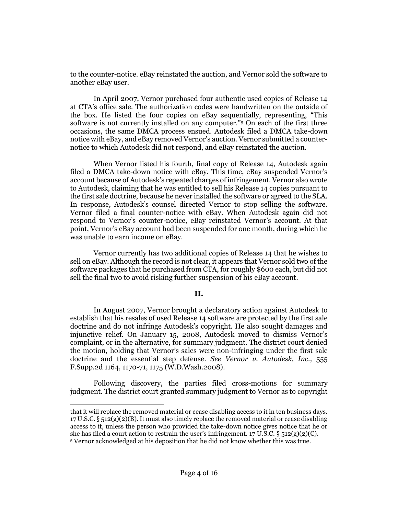to the counter-notice. eBay reinstated the auction, and Vernor sold the software to another eBay user.

In April 2007, Vernor purchased four authentic used copies of Release 14 at CTA's office sale. The authorization codes were handwritten on the outside of the box. He listed the four copies on eBay sequentially, representing, "This software is not currently installed on any computer."<sup>5</sup> On each of the first three occasions, the same DMCA process ensued. Autodesk filed a DMCA take-down notice with eBay, and eBay removed Vernor's auction. Vernor submitted a counternotice to which Autodesk did not respond, and eBay reinstated the auction.

When Vernor listed his fourth, final copy of Release 14, Autodesk again filed a DMCA take-down notice with eBay. This time, eBay suspended Vernor's account because of Autodesk's repeated charges of infringement. Vernor also wrote to Autodesk, claiming that he was entitled to sell his Release 14 copies pursuant to the first sale doctrine, because he never installed the software or agreed to the SLA. In response, Autodesk's counsel directed Vernor to stop selling the software. Vernor filed a final counter-notice with eBay. When Autodesk again did not respond to Vernor's counter-notice, eBay reinstated Vernor's account. At that point, Vernor's eBay account had been suspended for one month, during which he was unable to earn income on eBay.

Vernor currently has two additional copies of Release 14 that he wishes to sell on eBay. Although the record is not clear, it appears that Vernor sold two of the software packages that he purchased from CTA, for roughly \$600 each, but did not sell the final two to avoid risking further suspension of his eBay account.

## **II.**

In August 2007, Vernor brought a declaratory action against Autodesk to establish that his resales of used Release 14 software are protected by the first sale doctrine and do not infringe Autodesk's copyright. He also sought damages and injunctive relief. On January 15, 2008, Autodesk moved to dismiss Vernor's complaint, or in the alternative, for summary judgment. The district court denied the motion, holding that Vernor's sales were non-infringing under the first sale doctrine and the essential step defense. *See [Vernor v. Autodesk, Inc.,](http://www.westlaw.com/Link/Document/FullText?findType=Y&serNum=2016194198&pubNum=4637&originatingDoc=I30f3e343bcb011df89d8bf2e8566150b&refType=RP&fi=co_pp_sp_4637_1170&originationContext=document&vr=3.0&rs=cblt1.0&transitionType=DocumentItem&contextData=(sc.Default)#co_pp_sp_4637_1170)* 555 [F.Supp.2d 1164, 1170-71, 1175 \(W.D.Wash.2008\).](http://www.westlaw.com/Link/Document/FullText?findType=Y&serNum=2016194198&pubNum=4637&originatingDoc=I30f3e343bcb011df89d8bf2e8566150b&refType=RP&fi=co_pp_sp_4637_1170&originationContext=document&vr=3.0&rs=cblt1.0&transitionType=DocumentItem&contextData=(sc.Default)#co_pp_sp_4637_1170)

Following discovery, the parties filed cross-motions for summary judgment. The district court granted summary judgment to Vernor as to copyright

 $\overline{\phantom{a}}$ 

that it will replace the removed material or cease disabling access to it in ten business days.  $17 \text{ U.S.C.}$  §  $512(g)(2)(B)$ . It must also timely replace the removed material or cease disabling access to it, unless the person who provided the take-down notice gives notice that he or she has filed a court action to restrain the user's infringement. 17 U.S.C.  $\S$  512(g)(2)(C). <sup>5</sup> Vernor acknowledged at his deposition that he did not know whether this was true.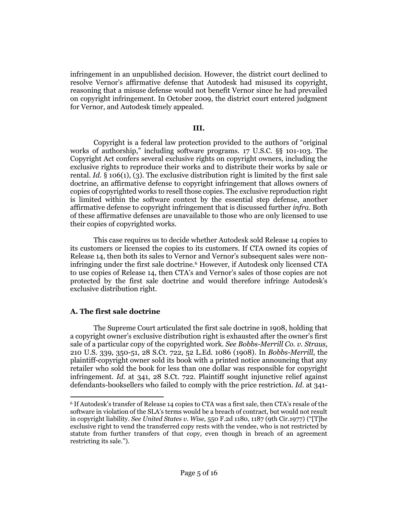infringement in an unpublished decision. However, the district court declined to resolve Vernor's affirmative defense that Autodesk had misused its copyright, reasoning that a misuse defense would not benefit Vernor since he had prevailed on copyright infringement. In October 2009, the district court entered judgment for Vernor, and Autodesk timely appealed.

#### **III.**

Copyright is a federal law protection provided to the authors of "original works of authorship," including software programs. [17 U.S.C. §§ 101](http://www.westlaw.com/Link/Document/FullText?findType=L&pubNum=1000546&cite=17USCAS101&originatingDoc=I30f3e343bcb011df89d8bf2e8566150b&refType=LQ&originationContext=document&vr=3.0&rs=cblt1.0&transitionType=DocumentItem&contextData=(sc.Default))[-103.](http://www.westlaw.com/Link/Document/FullText?findType=L&pubNum=1000546&cite=17USCAS103&originatingDoc=I30f3e343bcb011df89d8bf2e8566150b&refType=LQ&originationContext=document&vr=3.0&rs=cblt1.0&transitionType=DocumentItem&contextData=(sc.Default)) The Copyright Act confers several exclusive rights on copyright owners, including the exclusive rights to reproduce their works and to distribute their works by sale or rental. *Id.* § 106(1), (3). The exclusive distribution right is limited by the first sale doctrine, an affirmative defense to copyright infringement that allows owners of copies of copyrighted works to resell those copies. The exclusive reproduction right is limited within the software context by the essential step defense, another affirmative defense to copyright infringement that is discussed further *infra.* Both of these affirmative defenses are unavailable to those who are only licensed to use their copies of copyrighted works.

This case requires us to decide whether Autodesk sold Release 14 copies to its customers or licensed the copies to its customers. If CTA owned its copies of Release 14, then both its sales to Vernor and Vernor's subsequent sales were noninfringing under the first sale doctrine.<sup>6</sup> However, if Autodesk only licensed CTA to use copies of Release 14, then CTA's and Vernor's sales of those copies are not protected by the first sale doctrine and would therefore infringe Autodesk's exclusive distribution right.

## **A. The first sale doctrine**

 $\overline{\phantom{a}}$ 

The Supreme Court articulated the first sale doctrine in 1908, holding that a copyright owner's exclusive distribution right is exhausted after the owner's first sale of a particular copy of the copyrighted work. *See [Bobbs-Merrill Co. v. Straus,](http://www.westlaw.com/Link/Document/FullText?findType=Y&serNum=1908100341&pubNum=708&originatingDoc=I30f3e343bcb011df89d8bf2e8566150b&refType=RP&originationContext=document&vr=3.0&rs=cblt1.0&transitionType=DocumentItem&contextData=(sc.Default))* [210 U.S. 339, 350-51, 28 S.Ct. 722, 52 L.Ed. 1086 \(1908\).](http://www.westlaw.com/Link/Document/FullText?findType=Y&serNum=1908100341&pubNum=708&originatingDoc=I30f3e343bcb011df89d8bf2e8566150b&refType=RP&originationContext=document&vr=3.0&rs=cblt1.0&transitionType=DocumentItem&contextData=(sc.Default)) In *[Bobbs-Merrill,](http://www.westlaw.com/Link/Document/FullText?findType=Y&serNum=1908100341&originatingDoc=I30f3e343bcb011df89d8bf2e8566150b&refType=RP&originationContext=document&vr=3.0&rs=cblt1.0&transitionType=DocumentItem&contextData=(sc.Default))* the plaintiff-copyright owner sold its book with a printed notice announcing that any retailer who sold the book for less than one dollar was responsible for copyright infringement. *Id.* [at 341, 28 S.Ct. 722.](http://www.westlaw.com/Link/Document/FullText?findType=Y&serNum=1908100341&pubNum=708&originatingDoc=I30f3e343bcb011df89d8bf2e8566150b&refType=RP&originationContext=document&vr=3.0&rs=cblt1.0&transitionType=DocumentItem&contextData=(sc.Default)) Plaintiff sought injunctive relief against defendants-booksellers who failed to comply with the price restriction. *Id.* [at 341-](http://www.westlaw.com/Link/Document/FullText?findType=Y&serNum=1908100341&pubNum=708&originatingDoc=I30f3e343bcb011df89d8bf2e8566150b&refType=RP&originationContext=document&vr=3.0&rs=cblt1.0&transitionType=DocumentItem&contextData=(sc.Default))

<sup>6</sup> If Autodesk's transfer of Release 14 copies to CTA was a first sale, then CTA's resale of the software in violation of the SLA's terms would be a breach of contract, but would not result in copyright liability. *See United States v. Wise,* [550 F.2d 1180, 1187 \(9th Cir.1977\)](http://www.westlaw.com/Link/Document/FullText?findType=Y&serNum=1977104298&pubNum=350&originatingDoc=I30f3e343bcb011df89d8bf2e8566150b&refType=RP&fi=co_pp_sp_350_1187&originationContext=document&vr=3.0&rs=cblt1.0&transitionType=DocumentItem&contextData=(sc.Default)#co_pp_sp_350_1187) ("[T]he exclusive right to vend the transferred copy rests with the vendee, who is not restricted by statute from further transfers of that copy, even though in breach of an agreement restricting its sale.").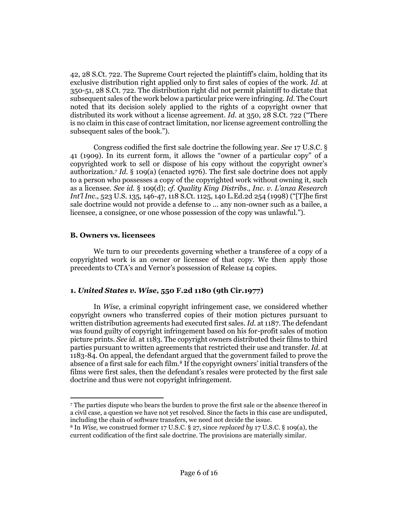[42, 28 S.Ct. 722.](http://www.westlaw.com/Link/Document/FullText?findType=Y&serNum=1908100341&pubNum=708&originatingDoc=I30f3e343bcb011df89d8bf2e8566150b&refType=RP&originationContext=document&vr=3.0&rs=cblt1.0&transitionType=DocumentItem&contextData=(sc.Default)) The Supreme Court rejected the plaintiff's claim, holding that its exclusive distribution right applied only to first sales of copies of the work. *[Id.](http://www.westlaw.com/Link/Document/FullText?findType=Y&serNum=1908100341&pubNum=708&originatingDoc=I30f3e343bcb011df89d8bf2e8566150b&refType=RP&originationContext=document&vr=3.0&rs=cblt1.0&transitionType=DocumentItem&contextData=(sc.Default))* at [350-51, 28 S.Ct. 722.](http://www.westlaw.com/Link/Document/FullText?findType=Y&serNum=1908100341&pubNum=708&originatingDoc=I30f3e343bcb011df89d8bf2e8566150b&refType=RP&originationContext=document&vr=3.0&rs=cblt1.0&transitionType=DocumentItem&contextData=(sc.Default)) The distribution right did not permit plaintiff to dictate that subsequent sales of the work below a particular price were infringing. *[Id.](http://www.westlaw.com/Link/Document/FullText?findType=Y&serNum=1908100341&originatingDoc=I30f3e343bcb011df89d8bf2e8566150b&refType=RP&originationContext=document&vr=3.0&rs=cblt1.0&transitionType=DocumentItem&contextData=(sc.Default))* The Court noted that its decision solely applied to the rights of a copyright owner that distributed its work without a license agreement. *Id.* [at 350, 28 S.Ct. 722](http://www.westlaw.com/Link/Document/FullText?findType=Y&serNum=1908100341&pubNum=708&originatingDoc=I30f3e343bcb011df89d8bf2e8566150b&refType=RP&originationContext=document&vr=3.0&rs=cblt1.0&transitionType=DocumentItem&contextData=(sc.Default)) ("There is no claim in this case of contract limitation, nor license agreement controlling the subsequent sales of the book.").

Congress codified the first sale doctrine the following year. *See* 17 U.S.C. § 41 (1909). In its current form, it allows the "owner of a particular copy" of a copyrighted work to sell or dispose of his copy without the copyright owner's authorization.<sup>7</sup> *Id.* [§ 109\(a\)](http://www.westlaw.com/Link/Document/FullText?findType=L&pubNum=1000546&cite=17USCAS109&originatingDoc=I30f3e343bcb011df89d8bf2e8566150b&refType=LQ&originationContext=document&vr=3.0&rs=cblt1.0&transitionType=DocumentItem&contextData=(sc.Default)) (enacted 1976). The first sale doctrine does not apply to a person who possesses a copy of the copyrighted work without owning it, such as a licensee. *See id.* [§ 109\(d\);](http://www.westlaw.com/Link/Document/FullText?findType=L&pubNum=1000546&cite=17USCAS109&originatingDoc=I30f3e343bcb011df89d8bf2e8566150b&refType=LQ&originationContext=document&vr=3.0&rs=cblt1.0&transitionType=DocumentItem&contextData=(sc.Default)) *cf. [Quality King Distribs., Inc. v. L'anza Research](http://www.westlaw.com/Link/Document/FullText?findType=Y&serNum=1998065033&pubNum=708&originatingDoc=I30f3e343bcb011df89d8bf2e8566150b&refType=RP&originationContext=document&vr=3.0&rs=cblt1.0&transitionType=DocumentItem&contextData=(sc.Default))  Int'l Inc.,* [523 U.S. 135, 146-47, 118 S.Ct. 1125, 140 L.Ed.2d 254 \(1998\)](http://www.westlaw.com/Link/Document/FullText?findType=Y&serNum=1998065033&pubNum=708&originatingDoc=I30f3e343bcb011df89d8bf2e8566150b&refType=RP&originationContext=document&vr=3.0&rs=cblt1.0&transitionType=DocumentItem&contextData=(sc.Default)) ("[T]he first sale doctrine would not provide a defense to ... any non-owner such as a bailee, a licensee, a consignee, or one whose possession of the copy was unlawful.").

# **B. Owners vs. licensees**

We turn to our precedents governing whether a transferee of a copy of a copyrighted work is an owner or licensee of that copy. We then apply those precedents to CTA's and Vernor's possession of Release 14 copies.

# **1.** *United States v. Wise,* **[550 F.2d 1180 \(9th Cir.1977\)](http://www.westlaw.com/Link/Document/FullText?findType=Y&serNum=1977104298&pubNum=350&originatingDoc=I30f3e343bcb011df89d8bf2e8566150b&refType=RP&originationContext=document&vr=3.0&rs=cblt1.0&transitionType=DocumentItem&contextData=(sc.Default))**

In *[Wise,](http://www.westlaw.com/Link/Document/FullText?findType=Y&serNum=1977104298&originatingDoc=I30f3e343bcb011df89d8bf2e8566150b&refType=RP&originationContext=document&vr=3.0&rs=cblt1.0&transitionType=DocumentItem&contextData=(sc.Default))* a criminal copyright infringement case, we considered whether copyright owners who transferred copies of their motion pictures pursuant to written distribution agreements had executed first sales. *Id.* [at 1187.](http://www.westlaw.com/Link/Document/FullText?findType=Y&serNum=1977104298&originatingDoc=I30f3e343bcb011df89d8bf2e8566150b&refType=RP&originationContext=document&vr=3.0&rs=cblt1.0&transitionType=DocumentItem&contextData=(sc.Default)) The defendant was found guilty of copyright infringement based on his for-profit sales of motion picture prints. *See id.* [at 1183.](http://www.westlaw.com/Link/Document/FullText?findType=Y&serNum=1977104298&originatingDoc=I30f3e343bcb011df89d8bf2e8566150b&refType=RP&originationContext=document&vr=3.0&rs=cblt1.0&transitionType=DocumentItem&contextData=(sc.Default)) The copyright owners distributed their films to third parties pursuant to written agreements that restricted their use and transfer. *[Id.](http://www.westlaw.com/Link/Document/FullText?findType=Y&serNum=1977104298&originatingDoc=I30f3e343bcb011df89d8bf2e8566150b&refType=RP&originationContext=document&vr=3.0&rs=cblt1.0&transitionType=DocumentItem&contextData=(sc.Default))* at [1183-84.](http://www.westlaw.com/Link/Document/FullText?findType=Y&serNum=1977104298&originatingDoc=I30f3e343bcb011df89d8bf2e8566150b&refType=RP&originationContext=document&vr=3.0&rs=cblt1.0&transitionType=DocumentItem&contextData=(sc.Default)) On appeal, the defendant argued that the government failed to prove the absence of a first sale for each film.<sup>8</sup> If the copyright owners' initial transfers of the films were first sales, then the defendant's resales were protected by the first sale doctrine and thus were not copyright infringement.

 $\overline{\phantom{a}}$ <sup>7</sup> The parties dispute who bears the burden to prove the first sale or the absence thereof in a civil case, a question we have not yet resolved. Since the facts in this case are undisputed, including the chain of software transfers, we need not decide the issue.

<sup>8</sup> In *[Wise,](http://www.westlaw.com/Link/Document/FullText?findType=Y&serNum=1977104298&originatingDoc=I30f3e343bcb011df89d8bf2e8566150b&refType=RP&originationContext=document&vr=3.0&rs=cblt1.0&transitionType=DocumentItem&contextData=(sc.Default))* we construed former 17 U.S.C. § 27, since *replaced by* [17 U.S.C. § 109\(a\),](http://www.westlaw.com/Link/Document/FullText?findType=L&pubNum=1000546&cite=17USCAS109&originatingDoc=I30f3e343bcb011df89d8bf2e8566150b&refType=RB&originationContext=document&vr=3.0&rs=cblt1.0&transitionType=DocumentItem&contextData=(sc.Default)#co_pp_8b3b0000958a4) the current codification of the first sale doctrine. The provisions are materially similar.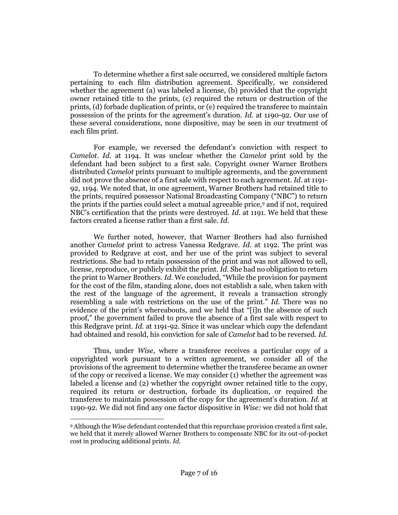To determine whether a first sale occurred, we considered multiple factors pertaining to each film distribution agreement. Specifically, we considered whether the agreement (a) was labeled a license, (b) provided that the copyright owner retained title to the prints, (c) required the return or destruction of the prints, (d) forbade duplication of prints, or (e) required the transferee to maintain possession of the prints for the agreement's duration. *Id.* [at 1190-92.](http://www.westlaw.com/Link/Document/FullText?findType=Y&serNum=1977104298&originatingDoc=I30f3e343bcb011df89d8bf2e8566150b&refType=RP&originationContext=document&vr=3.0&rs=cblt1.0&transitionType=DocumentItem&contextData=(sc.Default)) Our use of these several considerations, none dispositive, may be seen in our treatment of each film print.

For example, we reversed the defendant's conviction with respect to *Camelot. Id.* [at 1194.](http://www.westlaw.com/Link/Document/FullText?findType=Y&serNum=1977104298&originatingDoc=I30f3e343bcb011df89d8bf2e8566150b&refType=RP&originationContext=document&vr=3.0&rs=cblt1.0&transitionType=DocumentItem&contextData=(sc.Default)) It was unclear whether the *Camelot* print sold by the defendant had been subject to a first sale. Copyright owner Warner Brothers distributed *Camelot* prints pursuant to multiple agreements, and the government did not prove the absence of a first sale with respect to each agreement. *Id.* [at 1191-](http://www.westlaw.com/Link/Document/FullText?findType=Y&serNum=1977104298&originatingDoc=I30f3e343bcb011df89d8bf2e8566150b&refType=RP&originationContext=document&vr=3.0&rs=cblt1.0&transitionType=DocumentItem&contextData=(sc.Default)) [92, 1194.](http://www.westlaw.com/Link/Document/FullText?findType=Y&serNum=1977104298&originatingDoc=I30f3e343bcb011df89d8bf2e8566150b&refType=RP&originationContext=document&vr=3.0&rs=cblt1.0&transitionType=DocumentItem&contextData=(sc.Default)) We noted that, in one agreement, Warner Brothers had retained title to the prints, required possessor National Broadcasting Company ("NBC") to return the prints if the parties could select a mutual agreeable price,<sup>9</sup> and if not, required NBC's certification that the prints were destroyed. *Id.* [at 1191.](http://www.westlaw.com/Link/Document/FullText?findType=Y&serNum=1977104298&originatingDoc=I30f3e343bcb011df89d8bf2e8566150b&refType=RP&originationContext=document&vr=3.0&rs=cblt1.0&transitionType=DocumentItem&contextData=(sc.Default)) We held that these factors created a license rather than a first sale. *[Id.](http://www.westlaw.com/Link/Document/FullText?findType=Y&serNum=1977104298&originatingDoc=I30f3e343bcb011df89d8bf2e8566150b&refType=RP&originationContext=document&vr=3.0&rs=cblt1.0&transitionType=DocumentItem&contextData=(sc.Default))*

We further noted, however, that Warner Brothers had also furnished another *Camelot* print to actress Vanessa Redgrave. *Id.* [at 1192.](http://www.westlaw.com/Link/Document/FullText?findType=Y&serNum=1977104298&originatingDoc=I30f3e343bcb011df89d8bf2e8566150b&refType=RP&originationContext=document&vr=3.0&rs=cblt1.0&transitionType=DocumentItem&contextData=(sc.Default)) The print was provided to Redgrave at cost, and her use of the print was subject to several restrictions. She had to retain possession of the print and was not allowed to sell, license, reproduce, or publicly exhibit the print. *[Id.](http://www.westlaw.com/Link/Document/FullText?findType=Y&serNum=1977104298&originatingDoc=I30f3e343bcb011df89d8bf2e8566150b&refType=RP&originationContext=document&vr=3.0&rs=cblt1.0&transitionType=DocumentItem&contextData=(sc.Default))* She had no obligation to return the print to Warner Brothers. *[Id.](http://www.westlaw.com/Link/Document/FullText?findType=Y&serNum=1977104298&originatingDoc=I30f3e343bcb011df89d8bf2e8566150b&refType=RP&originationContext=document&vr=3.0&rs=cblt1.0&transitionType=DocumentItem&contextData=(sc.Default))* We concluded, "While the provision for payment for the cost of the film, standing alone, does not establish a sale, when taken with the rest of the language of the agreement, it reveals a transaction strongly resembling a sale with restrictions on the use of the print." *[Id.](http://www.westlaw.com/Link/Document/FullText?findType=Y&serNum=1977104298&originatingDoc=I30f3e343bcb011df89d8bf2e8566150b&refType=RP&originationContext=document&vr=3.0&rs=cblt1.0&transitionType=DocumentItem&contextData=(sc.Default))* There was no evidence of the print's whereabouts, and we held that "[i]n the absence of such proof," the government failed to prove the absence of a first sale with respect to this Redgrave print. *Id.* [at 1191-92.](http://www.westlaw.com/Link/Document/FullText?findType=Y&serNum=1977104298&originatingDoc=I30f3e343bcb011df89d8bf2e8566150b&refType=RP&originationContext=document&vr=3.0&rs=cblt1.0&transitionType=DocumentItem&contextData=(sc.Default)) Since it was unclear which copy the defendant had obtained and resold, his conviction for sale of *Camelot* had to be reversed. *[Id.](http://www.westlaw.com/Link/Document/FullText?findType=Y&serNum=1977104298&originatingDoc=I30f3e343bcb011df89d8bf2e8566150b&refType=RP&originationContext=document&vr=3.0&rs=cblt1.0&transitionType=DocumentItem&contextData=(sc.Default))*

Thus, under *[Wise,](http://www.westlaw.com/Link/Document/FullText?findType=Y&serNum=1977104298&originatingDoc=I30f3e343bcb011df89d8bf2e8566150b&refType=RP&originationContext=document&vr=3.0&rs=cblt1.0&transitionType=DocumentItem&contextData=(sc.Default))* where a transferee receives a particular copy of a copyrighted work pursuant to a written agreement, we consider all of the provisions of the agreement to determine whether the transferee became an owner of the copy or received a license. We may consider (1) whether the agreement was labeled a license and (2) whether the copyright owner retained title to the copy, required its return or destruction, forbade its duplication, or required the transferee to maintain possession of the copy for the agreement's duration. *[Id.](http://www.westlaw.com/Link/Document/FullText?findType=Y&serNum=1977104298&originatingDoc=I30f3e343bcb011df89d8bf2e8566150b&refType=RP&originationContext=document&vr=3.0&rs=cblt1.0&transitionType=DocumentItem&contextData=(sc.Default))* at [1190-92.](http://www.westlaw.com/Link/Document/FullText?findType=Y&serNum=1977104298&originatingDoc=I30f3e343bcb011df89d8bf2e8566150b&refType=RP&originationContext=document&vr=3.0&rs=cblt1.0&transitionType=DocumentItem&contextData=(sc.Default)) We did not find any one factor dispositive in *[Wise:](http://www.westlaw.com/Link/Document/FullText?findType=Y&serNum=1977104298&originatingDoc=I30f3e343bcb011df89d8bf2e8566150b&refType=RP&originationContext=document&vr=3.0&rs=cblt1.0&transitionType=DocumentItem&contextData=(sc.Default))* we did not hold that

l

<sup>9</sup> Although the *[Wise](http://www.westlaw.com/Link/Document/FullText?findType=Y&serNum=1977104298&originatingDoc=I30f3e343bcb011df89d8bf2e8566150b&refType=RP&originationContext=document&vr=3.0&rs=cblt1.0&transitionType=DocumentItem&contextData=(sc.Default))* defendant contended that this repurchase provision created a first sale, we held that it merely allowed Warner Brothers to compensate NBC for its out-of-pocket cost in producing additional prints. *[Id.](http://www.westlaw.com/Link/Document/FullText?findType=Y&serNum=1977104298&originatingDoc=I30f3e343bcb011df89d8bf2e8566150b&refType=RP&originationContext=document&vr=3.0&rs=cblt1.0&transitionType=DocumentItem&contextData=(sc.Default))*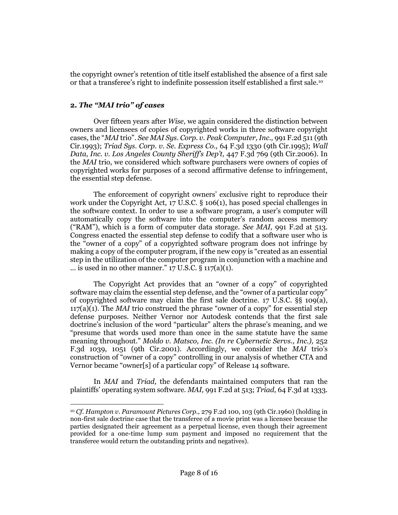the copyright owner's retention of title itself established the absence of a first sale or that a transferee's right to indefinite possession itself established a first sale.<sup>10</sup>

# **2.** *The "MAI trio" of cases*

Over fifteen years after *[Wise,](http://www.westlaw.com/Link/Document/FullText?findType=Y&serNum=1977104298&originatingDoc=I30f3e343bcb011df89d8bf2e8566150b&refType=RP&originationContext=document&vr=3.0&rs=cblt1.0&transitionType=DocumentItem&contextData=(sc.Default))* we again considered the distinction between owners and licensees of copies of copyrighted works in three software copyright cases, the "*[MAI](http://www.westlaw.com/Link/Document/FullText?findType=Y&serNum=1993084519&originatingDoc=I30f3e343bcb011df89d8bf2e8566150b&refType=RP&originationContext=document&vr=3.0&rs=cblt1.0&transitionType=DocumentItem&contextData=(sc.Default))* trio". *Se[e MAI Sys. Corp. v. Peak Computer, Inc.,](http://www.westlaw.com/Link/Document/FullText?findType=Y&serNum=1993084519&pubNum=350&originatingDoc=I30f3e343bcb011df89d8bf2e8566150b&refType=RP&originationContext=document&vr=3.0&rs=cblt1.0&transitionType=DocumentItem&contextData=(sc.Default))* 991 F.2d 511 (9th [Cir.1993\);](http://www.westlaw.com/Link/Document/FullText?findType=Y&serNum=1993084519&pubNum=350&originatingDoc=I30f3e343bcb011df89d8bf2e8566150b&refType=RP&originationContext=document&vr=3.0&rs=cblt1.0&transitionType=DocumentItem&contextData=(sc.Default)) *[Triad Sys. Corp. v. Se. Express Co.,](http://www.westlaw.com/Link/Document/FullText?findType=Y&serNum=1995178178&pubNum=506&originatingDoc=I30f3e343bcb011df89d8bf2e8566150b&refType=RP&originationContext=document&vr=3.0&rs=cblt1.0&transitionType=DocumentItem&contextData=(sc.Default))* 64 F.3d 1330 (9th Cir.1995); *[Wall](http://www.westlaw.com/Link/Document/FullText?findType=Y&serNum=2009170406&pubNum=506&originatingDoc=I30f3e343bcb011df89d8bf2e8566150b&refType=RP&originationContext=document&vr=3.0&rs=cblt1.0&transitionType=DocumentItem&contextData=(sc.Default))  [Data, Inc. v. Los Angeles County Sheriff's Dep't,](http://www.westlaw.com/Link/Document/FullText?findType=Y&serNum=2009170406&pubNum=506&originatingDoc=I30f3e343bcb011df89d8bf2e8566150b&refType=RP&originationContext=document&vr=3.0&rs=cblt1.0&transitionType=DocumentItem&contextData=(sc.Default))* 447 F.3d 769 (9th Cir.2006). In the *[MAI](http://www.westlaw.com/Link/Document/FullText?findType=Y&serNum=1993084519&originatingDoc=I30f3e343bcb011df89d8bf2e8566150b&refType=RP&originationContext=document&vr=3.0&rs=cblt1.0&transitionType=DocumentItem&contextData=(sc.Default))* trio, we considered which software purchasers were owners of copies of copyrighted works for purposes of a second affirmative defense to infringement, the essential step defense.

The enforcement of copyright owners' exclusive right to reproduce their work under the Copyright Act, [17 U.S.C. § 106\(1\),](http://www.westlaw.com/Link/Document/FullText?findType=L&pubNum=1000546&cite=17USCAS106&originatingDoc=I30f3e343bcb011df89d8bf2e8566150b&refType=RB&originationContext=document&vr=3.0&rs=cblt1.0&transitionType=DocumentItem&contextData=(sc.Default)#co_pp_f1c50000821b0) has posed special challenges in the software context. In order to use a software program, a user's computer will automatically copy the software into the computer's random access memory ("RAM"), which is a form of computer data storage. *See MAI,* [991 F.2d at 513.](http://www.westlaw.com/Link/Document/FullText?findType=Y&serNum=1993084519&pubNum=350&originatingDoc=I30f3e343bcb011df89d8bf2e8566150b&refType=RP&fi=co_pp_sp_350_513&originationContext=document&vr=3.0&rs=cblt1.0&transitionType=DocumentItem&contextData=(sc.Default)#co_pp_sp_350_513) Congress enacted the essential step defense to codify that a software user who is the "owner of a copy" of a copyrighted software program does not infringe by making a copy of the computer program, if the new copy is "created as an essential step in the utilization of the computer program in conjunction with a machine and ... is used in no other manner."  $17 \text{ U.S.C.}$  §  $117(a)(1)$ .

The Copyright Act provides that an "owner of a copy" of copyrighted software may claim the essential step defense, and the "owner of a particular copy" of copyrighted software may claim the first sale doctrine.  $17 \text{ U.S.C.}$  §§ 109(a),  $117(a)(1)$ . The *[MAI](http://www.westlaw.com/Link/Document/FullText?findType=Y&serNum=1993084519&originatingDoc=I30f3e343bcb011df89d8bf2e8566150b&refType=RP&originationContext=document&vr=3.0&rs=cblt1.0&transitionType=DocumentItem&contextData=(sc.Default))* trio construed the phrase "owner of a copy" for essential step defense purposes. Neither Vernor nor Autodesk contends that the first sale doctrine's inclusion of the word "particular" alters the phrase's meaning, and we "presume that words used more than once in the same statute have the same meaning throughout." *Moldo v. [Matsco, Inc. \(In re Cybernetic Servs., Inc.\),](http://www.westlaw.com/Link/Document/FullText?findType=Y&serNum=2001485545&pubNum=506&originatingDoc=I30f3e343bcb011df89d8bf2e8566150b&refType=RP&fi=co_pp_sp_506_1051&originationContext=document&vr=3.0&rs=cblt1.0&transitionType=DocumentItem&contextData=(sc.Default)#co_pp_sp_506_1051)* 252 [F.3d 1039, 1051 \(9th Cir.2001\).](http://www.westlaw.com/Link/Document/FullText?findType=Y&serNum=2001485545&pubNum=506&originatingDoc=I30f3e343bcb011df89d8bf2e8566150b&refType=RP&fi=co_pp_sp_506_1051&originationContext=document&vr=3.0&rs=cblt1.0&transitionType=DocumentItem&contextData=(sc.Default)#co_pp_sp_506_1051) Accordingly, we consider the *[MAI](http://www.westlaw.com/Link/Document/FullText?findType=Y&serNum=1993084519&originatingDoc=I30f3e343bcb011df89d8bf2e8566150b&refType=RP&originationContext=document&vr=3.0&rs=cblt1.0&transitionType=DocumentItem&contextData=(sc.Default))* trio's construction of "owner of a copy" controlling in our analysis of whether CTA and Vernor became "owner[s] of a particular copy" of Release 14 software.

In *[MAI](http://www.westlaw.com/Link/Document/FullText?findType=Y&serNum=1993084519&originatingDoc=I30f3e343bcb011df89d8bf2e8566150b&refType=RP&originationContext=document&vr=3.0&rs=cblt1.0&transitionType=DocumentItem&contextData=(sc.Default))* and *[Triad,](http://www.westlaw.com/Link/Document/FullText?findType=Y&serNum=1995178178&originatingDoc=I30f3e343bcb011df89d8bf2e8566150b&refType=RP&originationContext=document&vr=3.0&rs=cblt1.0&transitionType=DocumentItem&contextData=(sc.Default))* the defendants maintained computers that ran the plaintiffs' operating system software. *MAI,* [991 F.2d at 513;](http://www.westlaw.com/Link/Document/FullText?findType=Y&serNum=1993084519&pubNum=350&originatingDoc=I30f3e343bcb011df89d8bf2e8566150b&refType=RP&fi=co_pp_sp_350_513&originationContext=document&vr=3.0&rs=cblt1.0&transitionType=DocumentItem&contextData=(sc.Default)#co_pp_sp_350_513) *Triad,* [64 F.3d at 1333.](http://www.westlaw.com/Link/Document/FullText?findType=Y&serNum=1995178178&pubNum=506&originatingDoc=I30f3e343bcb011df89d8bf2e8566150b&refType=RP&fi=co_pp_sp_506_1333&originationContext=document&vr=3.0&rs=cblt1.0&transitionType=DocumentItem&contextData=(sc.Default)#co_pp_sp_506_1333)

 $\overline{\phantom{a}}$ <sup>10</sup> *Cf[. Hampton v. Paramount Pictures Corp.,](http://www.westlaw.com/Link/Document/FullText?findType=Y&serNum=1960113240&pubNum=350&originatingDoc=I30f3e343bcb011df89d8bf2e8566150b&refType=RP&fi=co_pp_sp_350_103&originationContext=document&vr=3.0&rs=cblt1.0&transitionType=DocumentItem&contextData=(sc.Default)#co_pp_sp_350_103)* 279 F.2d 100, 103 (9th Cir.1960) (holding in non-first sale doctrine case that the transferee of a movie print was a licensee because the parties designated their agreement as a perpetual license, even though their agreement provided for a one-time lump sum payment and imposed no requirement that the transferee would return the outstanding prints and negatives).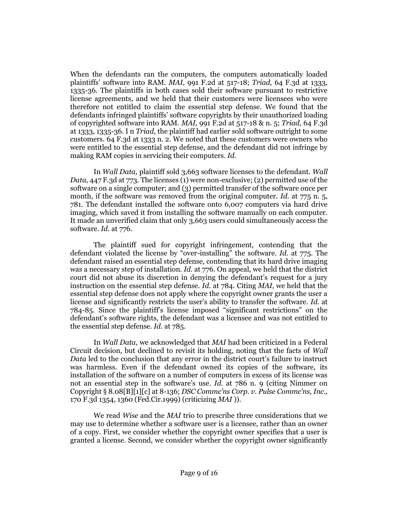When the defendants ran the computers, the computers automatically loaded plaintiffs' software into RAM. *MAI,* [991 F.2d at 517-18;](http://www.westlaw.com/Link/Document/FullText?findType=Y&serNum=1993084519&pubNum=350&originatingDoc=I30f3e343bcb011df89d8bf2e8566150b&refType=RP&fi=co_pp_sp_350_517&originationContext=document&vr=3.0&rs=cblt1.0&transitionType=DocumentItem&contextData=(sc.Default)#co_pp_sp_350_517) *Triad,* [64 F.3d at 1333,](http://www.westlaw.com/Link/Document/FullText?findType=Y&serNum=1995178178&pubNum=506&originatingDoc=I30f3e343bcb011df89d8bf2e8566150b&refType=RP&fi=co_pp_sp_506_1333&originationContext=document&vr=3.0&rs=cblt1.0&transitionType=DocumentItem&contextData=(sc.Default)#co_pp_sp_506_1333)  [1335-36.](http://www.westlaw.com/Link/Document/FullText?findType=Y&serNum=1995178178&pubNum=506&originatingDoc=I30f3e343bcb011df89d8bf2e8566150b&refType=RP&fi=co_pp_sp_506_1333&originationContext=document&vr=3.0&rs=cblt1.0&transitionType=DocumentItem&contextData=(sc.Default)#co_pp_sp_506_1333) The plaintiffs in both cases sold their software pursuant to restrictive license agreements, and we held that their customers were licensees who were therefore not entitled to claim the essential step defense. We found that the defendants infringed plaintiffs' software copyrights by their unauthorized loading of copyrighted software into RAM. *MAI,* [991 F.2d at 517-18 & n. 5;](http://www.westlaw.com/Link/Document/FullText?findType=Y&serNum=1993084519&pubNum=350&originatingDoc=I30f3e343bcb011df89d8bf2e8566150b&refType=RP&fi=co_pp_sp_350_517&originationContext=document&vr=3.0&rs=cblt1.0&transitionType=DocumentItem&contextData=(sc.Default)#co_pp_sp_350_517) *Triad,* [64 F.3d](http://www.westlaw.com/Link/Document/FullText?findType=Y&serNum=1995178178&pubNum=506&originatingDoc=I30f3e343bcb011df89d8bf2e8566150b&refType=RP&fi=co_pp_sp_506_1333&originationContext=document&vr=3.0&rs=cblt1.0&transitionType=DocumentItem&contextData=(sc.Default)#co_pp_sp_506_1333)  [at 1333, 1335-36.](http://www.westlaw.com/Link/Document/FullText?findType=Y&serNum=1995178178&pubNum=506&originatingDoc=I30f3e343bcb011df89d8bf2e8566150b&refType=RP&fi=co_pp_sp_506_1333&originationContext=document&vr=3.0&rs=cblt1.0&transitionType=DocumentItem&contextData=(sc.Default)#co_pp_sp_506_1333) I n *[Triad,](http://www.westlaw.com/Link/Document/FullText?findType=Y&serNum=1995178178&originatingDoc=I30f3e343bcb011df89d8bf2e8566150b&refType=RP&originationContext=document&vr=3.0&rs=cblt1.0&transitionType=DocumentItem&contextData=(sc.Default))* the plaintiff had earlier sold software outright to some customers. [64 F.3d at 1333 n. 2.](http://www.westlaw.com/Link/Document/FullText?findType=Y&serNum=1995178178&pubNum=506&originatingDoc=I30f3e343bcb011df89d8bf2e8566150b&refType=RP&fi=co_pp_sp_506_1333&originationContext=document&vr=3.0&rs=cblt1.0&transitionType=DocumentItem&contextData=(sc.Default)#co_pp_sp_506_1333) We noted that these customers were owners who were entitled to the essential step defense, and the defendant did not infringe by making RAM copies in servicing their computers. *[Id.](http://www.westlaw.com/Link/Document/FullText?findType=Y&serNum=1995178178&originatingDoc=I30f3e343bcb011df89d8bf2e8566150b&refType=RP&originationContext=document&vr=3.0&rs=cblt1.0&transitionType=DocumentItem&contextData=(sc.Default))*

In *[Wall Data,](http://www.westlaw.com/Link/Document/FullText?findType=Y&serNum=2009170406&originatingDoc=I30f3e343bcb011df89d8bf2e8566150b&refType=RP&originationContext=document&vr=3.0&rs=cblt1.0&transitionType=DocumentItem&contextData=(sc.Default))* plaintiff sold 3,663 software licenses to the defendant. *[Wall](http://www.westlaw.com/Link/Document/FullText?findType=Y&serNum=2009170406&pubNum=506&originatingDoc=I30f3e343bcb011df89d8bf2e8566150b&refType=RP&fi=co_pp_sp_506_773&originationContext=document&vr=3.0&rs=cblt1.0&transitionType=DocumentItem&contextData=(sc.Default)#co_pp_sp_506_773)  Data,* 447 [F.3d at 773.](http://www.westlaw.com/Link/Document/FullText?findType=Y&serNum=2009170406&pubNum=506&originatingDoc=I30f3e343bcb011df89d8bf2e8566150b&refType=RP&fi=co_pp_sp_506_773&originationContext=document&vr=3.0&rs=cblt1.0&transitionType=DocumentItem&contextData=(sc.Default)#co_pp_sp_506_773) The licenses (1) were non-exclusive; (2) permitted use of the software on a single computer; and (3) permitted transfer of the software once per month, if the software was removed from the original computer. *Id.* [at 775 n. 5,](http://www.westlaw.com/Link/Document/FullText?findType=Y&serNum=2009170406&originatingDoc=I30f3e343bcb011df89d8bf2e8566150b&refType=RP&originationContext=document&vr=3.0&rs=cblt1.0&transitionType=DocumentItem&contextData=(sc.Default))  [781.](http://www.westlaw.com/Link/Document/FullText?findType=Y&serNum=2009170406&originatingDoc=I30f3e343bcb011df89d8bf2e8566150b&refType=RP&originationContext=document&vr=3.0&rs=cblt1.0&transitionType=DocumentItem&contextData=(sc.Default)) The defendant installed the software onto 6,007 computers via hard drive imaging, which saved it from installing the software manually on each computer. It made an unverified claim that only 3,663 users could simultaneously access the software. *Id.* [at 776.](http://www.westlaw.com/Link/Document/FullText?findType=Y&serNum=2009170406&originatingDoc=I30f3e343bcb011df89d8bf2e8566150b&refType=RP&originationContext=document&vr=3.0&rs=cblt1.0&transitionType=DocumentItem&contextData=(sc.Default))

The plaintiff sued for copyright infringement, contending that the defendant violated the license by "over-installing" the software. *Id.* [at 775.](http://www.westlaw.com/Link/Document/FullText?findType=Y&serNum=2009170406&originatingDoc=I30f3e343bcb011df89d8bf2e8566150b&refType=RP&originationContext=document&vr=3.0&rs=cblt1.0&transitionType=DocumentItem&contextData=(sc.Default)) The defendant raised an essential step defense, contending that its hard drive imaging was a necessary step of installation. *Id.* [at 776.](http://www.westlaw.com/Link/Document/FullText?findType=Y&serNum=2009170406&originatingDoc=I30f3e343bcb011df89d8bf2e8566150b&refType=RP&originationContext=document&vr=3.0&rs=cblt1.0&transitionType=DocumentItem&contextData=(sc.Default)) On appeal, we held that the district court did not abuse its discretion in denying the defendant's request for a jury instruction on the essential step defense. *Id.* [at 784.](http://www.westlaw.com/Link/Document/FullText?findType=Y&serNum=2009170406&originatingDoc=I30f3e343bcb011df89d8bf2e8566150b&refType=RP&originationContext=document&vr=3.0&rs=cblt1.0&transitionType=DocumentItem&contextData=(sc.Default)) Citing *[MAI,](http://www.westlaw.com/Link/Document/FullText?findType=Y&serNum=1993084519&originatingDoc=I30f3e343bcb011df89d8bf2e8566150b&refType=RP&originationContext=document&vr=3.0&rs=cblt1.0&transitionType=DocumentItem&contextData=(sc.Default))* we held that the essential step defense does not apply where the copyright owner grants the user a license and significantly restricts the user's ability to transfer the software. *[Id.](http://www.westlaw.com/Link/Document/FullText?findType=Y&serNum=2009170406&originatingDoc=I30f3e343bcb011df89d8bf2e8566150b&refType=RP&originationContext=document&vr=3.0&rs=cblt1.0&transitionType=DocumentItem&contextData=(sc.Default))* at [784-85.](http://www.westlaw.com/Link/Document/FullText?findType=Y&serNum=2009170406&originatingDoc=I30f3e343bcb011df89d8bf2e8566150b&refType=RP&originationContext=document&vr=3.0&rs=cblt1.0&transitionType=DocumentItem&contextData=(sc.Default)) Since the plaintiff's license imposed "significant restrictions" on the defendant's software rights, the defendant was a licensee and was not entitled to the essential step defense. *Id.* [at 785.](http://www.westlaw.com/Link/Document/FullText?findType=Y&serNum=2009170406&originatingDoc=I30f3e343bcb011df89d8bf2e8566150b&refType=RP&originationContext=document&vr=3.0&rs=cblt1.0&transitionType=DocumentItem&contextData=(sc.Default))

In *[Wall Data,](http://www.westlaw.com/Link/Document/FullText?findType=Y&serNum=2009170406&originatingDoc=I30f3e343bcb011df89d8bf2e8566150b&refType=RP&originationContext=document&vr=3.0&rs=cblt1.0&transitionType=DocumentItem&contextData=(sc.Default))* we acknowledged that *[MAI](http://www.westlaw.com/Link/Document/FullText?findType=Y&serNum=1993084519&originatingDoc=I30f3e343bcb011df89d8bf2e8566150b&refType=RP&originationContext=document&vr=3.0&rs=cblt1.0&transitionType=DocumentItem&contextData=(sc.Default))* had been criticized in a Federal Circuit decision, but declined to revisit its holding, noting that the facts of *[Wall](http://www.westlaw.com/Link/Document/FullText?findType=Y&serNum=2009170406&originatingDoc=I30f3e343bcb011df89d8bf2e8566150b&refType=RP&originationContext=document&vr=3.0&rs=cblt1.0&transitionType=DocumentItem&contextData=(sc.Default))  [Data](http://www.westlaw.com/Link/Document/FullText?findType=Y&serNum=2009170406&originatingDoc=I30f3e343bcb011df89d8bf2e8566150b&refType=RP&originationContext=document&vr=3.0&rs=cblt1.0&transitionType=DocumentItem&contextData=(sc.Default))* led to the conclusion that any error in the district court's failure to instruct was harmless. Even if the defendant owned its copies of the software, its installation of the software on a number of computers in excess of its license was not an essential step in the software's use. *Id.* [at 786 n. 9](http://www.westlaw.com/Link/Document/FullText?findType=Y&serNum=2009170406&originatingDoc=I30f3e343bcb011df89d8bf2e8566150b&refType=RP&originationContext=document&vr=3.0&rs=cblt1.0&transitionType=DocumentItem&contextData=(sc.Default)) (citing Nimmer on Copyright § 8.08[B][1][c] at 8-136; *[DSC Commc'ns Corp. v. Pulse Commc'ns, Inc.,](http://www.westlaw.com/Link/Document/FullText?findType=Y&serNum=1999075047&pubNum=506&originatingDoc=I30f3e343bcb011df89d8bf2e8566150b&refType=RP&fi=co_pp_sp_506_1360&originationContext=document&vr=3.0&rs=cblt1.0&transitionType=DocumentItem&contextData=(sc.Default)#co_pp_sp_506_1360)* [170 F.3d 1354, 1360 \(Fed.Cir.1999\)](http://www.westlaw.com/Link/Document/FullText?findType=Y&serNum=1999075047&pubNum=506&originatingDoc=I30f3e343bcb011df89d8bf2e8566150b&refType=RP&fi=co_pp_sp_506_1360&originationContext=document&vr=3.0&rs=cblt1.0&transitionType=DocumentItem&contextData=(sc.Default)#co_pp_sp_506_1360) (criticizing *[MAI](http://www.westlaw.com/Link/Document/FullText?findType=Y&serNum=1993084519&originatingDoc=I30f3e343bcb011df89d8bf2e8566150b&refType=RP&originationContext=document&vr=3.0&rs=cblt1.0&transitionType=DocumentItem&contextData=(sc.Default))* )).

We read *[Wise](http://www.westlaw.com/Link/Document/FullText?findType=Y&serNum=1977104298&originatingDoc=I30f3e343bcb011df89d8bf2e8566150b&refType=RP&originationContext=document&vr=3.0&rs=cblt1.0&transitionType=DocumentItem&contextData=(sc.Default))* and the *[MAI](http://www.westlaw.com/Link/Document/FullText?findType=Y&serNum=1993084519&originatingDoc=I30f3e343bcb011df89d8bf2e8566150b&refType=RP&originationContext=document&vr=3.0&rs=cblt1.0&transitionType=DocumentItem&contextData=(sc.Default))* trio to prescribe three considerations that we may use to determine whether a software user is a licensee, rather than an owner of a copy. First, we consider whether the copyright owner specifies that a user is granted a license. Second, we consider whether the copyright owner significantly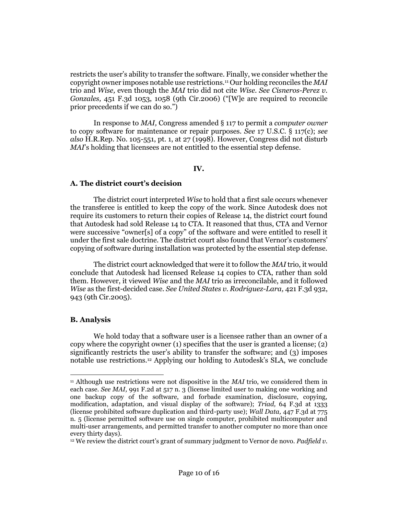restricts the user's ability to transfer the software. Finally, we consider whether the copyright owner imposes notable use restrictions.<sup>11</sup> Our holding reconciles the *[MAI](http://www.westlaw.com/Link/Document/FullText?findType=Y&serNum=1993084519&originatingDoc=I30f3e343bcb011df89d8bf2e8566150b&refType=RP&originationContext=document&vr=3.0&rs=cblt1.0&transitionType=DocumentItem&contextData=(sc.Default))* trio and *[Wise,](http://www.westlaw.com/Link/Document/FullText?findType=Y&serNum=1977104298&originatingDoc=I30f3e343bcb011df89d8bf2e8566150b&refType=RP&originationContext=document&vr=3.0&rs=cblt1.0&transitionType=DocumentItem&contextData=(sc.Default))* even though the *[MAI](http://www.westlaw.com/Link/Document/FullText?findType=Y&serNum=1993084519&originatingDoc=I30f3e343bcb011df89d8bf2e8566150b&refType=RP&originationContext=document&vr=3.0&rs=cblt1.0&transitionType=DocumentItem&contextData=(sc.Default))* trio did not cite *[Wise.](http://www.westlaw.com/Link/Document/FullText?findType=Y&serNum=1977104298&originatingDoc=I30f3e343bcb011df89d8bf2e8566150b&refType=RP&originationContext=document&vr=3.0&rs=cblt1.0&transitionType=DocumentItem&contextData=(sc.Default)) See [Cisneros-Perez v.](http://www.westlaw.com/Link/Document/FullText?findType=Y&serNum=2009432526&pubNum=506&originatingDoc=I30f3e343bcb011df89d8bf2e8566150b&refType=RP&fi=co_pp_sp_506_1058&originationContext=document&vr=3.0&rs=cblt1.0&transitionType=DocumentItem&contextData=(sc.Default)#co_pp_sp_506_1058)  Gonzales,* [451 F.3d 1053, 1058 \(9th Cir.2006\)](http://www.westlaw.com/Link/Document/FullText?findType=Y&serNum=2009432526&pubNum=506&originatingDoc=I30f3e343bcb011df89d8bf2e8566150b&refType=RP&fi=co_pp_sp_506_1058&originationContext=document&vr=3.0&rs=cblt1.0&transitionType=DocumentItem&contextData=(sc.Default)#co_pp_sp_506_1058) ("[W]e are required to reconcile prior precedents if we can do so.")

In response to *[MAI,](http://www.westlaw.com/Link/Document/FullText?findType=Y&serNum=1993084519&originatingDoc=I30f3e343bcb011df89d8bf2e8566150b&refType=RP&originationContext=document&vr=3.0&rs=cblt1.0&transitionType=DocumentItem&contextData=(sc.Default))* Congress amended [§ 117](http://www.westlaw.com/Link/Document/FullText?findType=L&pubNum=1000546&cite=17USCAS117&originatingDoc=I30f3e343bcb011df89d8bf2e8566150b&refType=LQ&originationContext=document&vr=3.0&rs=cblt1.0&transitionType=DocumentItem&contextData=(sc.Default)) to permit a *computer owner* to copy software for maintenance or repair purposes. *See* [17 U.S.C. § 117\(c\);](http://www.westlaw.com/Link/Document/FullText?findType=L&pubNum=1000546&cite=17USCAS117&originatingDoc=I30f3e343bcb011df89d8bf2e8566150b&refType=RB&originationContext=document&vr=3.0&rs=cblt1.0&transitionType=DocumentItem&contextData=(sc.Default)#co_pp_4b24000003ba5) *see also* [H.R.Rep. No. 105-551, pt. 1, at 27 \(1998\).](http://www.westlaw.com/Link/Document/FullText?findType=Y&pubNum=0100014&cite=HRREP105-551&originatingDoc=I30f3e343bcb011df89d8bf2e8566150b&refType=TV&originationContext=document&vr=3.0&rs=cblt1.0&transitionType=DocumentItem&contextData=(sc.Default)) However, Congress did not disturb *[MAI](http://www.westlaw.com/Link/Document/FullText?findType=Y&serNum=1993084519&originatingDoc=I30f3e343bcb011df89d8bf2e8566150b&refType=RP&originationContext=document&vr=3.0&rs=cblt1.0&transitionType=DocumentItem&contextData=(sc.Default))*'s holding that licensees are not entitled to the essential step defense.

# **IV.**

#### **A. The district court's decision**

The district court interpreted *[Wise](http://www.westlaw.com/Link/Document/FullText?findType=Y&serNum=1977104298&originatingDoc=I30f3e343bcb011df89d8bf2e8566150b&refType=RP&originationContext=document&vr=3.0&rs=cblt1.0&transitionType=DocumentItem&contextData=(sc.Default))* to hold that a first sale occurs whenever the transferee is entitled to keep the copy of the work. Since Autodesk does not require its customers to return their copies of Release 14, the district court found that Autodesk had sold Release 14 to CTA. It reasoned that thus, CTA and Vernor were successive "owner[s] of a copy" of the software and were entitled to resell it under the first sale doctrine. The district court also found that Vernor's customers' copying of software during installation was protected by the essential step defense.

The district court acknowledged that were it to follow the *[MAI](http://www.westlaw.com/Link/Document/FullText?findType=Y&serNum=1993084519&originatingDoc=I30f3e343bcb011df89d8bf2e8566150b&refType=RP&originationContext=document&vr=3.0&rs=cblt1.0&transitionType=DocumentItem&contextData=(sc.Default))* trio, it would conclude that Autodesk had licensed Release 14 copies to CTA, rather than sold them. However, it viewed *[Wise](http://www.westlaw.com/Link/Document/FullText?findType=Y&serNum=1977104298&originatingDoc=I30f3e343bcb011df89d8bf2e8566150b&refType=RP&originationContext=document&vr=3.0&rs=cblt1.0&transitionType=DocumentItem&contextData=(sc.Default))* and the *[MAI](http://www.westlaw.com/Link/Document/FullText?findType=Y&serNum=1993084519&originatingDoc=I30f3e343bcb011df89d8bf2e8566150b&refType=RP&originationContext=document&vr=3.0&rs=cblt1.0&transitionType=DocumentItem&contextData=(sc.Default))* trio as irreconcilable, and it followed *[Wise](http://www.westlaw.com/Link/Document/FullText?findType=Y&serNum=1977104298&originatingDoc=I30f3e343bcb011df89d8bf2e8566150b&refType=RP&originationContext=document&vr=3.0&rs=cblt1.0&transitionType=DocumentItem&contextData=(sc.Default))* as the first-decided case. *Se[e United States v. Rodriguez-Lara,](http://www.westlaw.com/Link/Document/FullText?findType=Y&serNum=2007196710&pubNum=506&originatingDoc=I30f3e343bcb011df89d8bf2e8566150b&refType=RP&fi=co_pp_sp_506_943&originationContext=document&vr=3.0&rs=cblt1.0&transitionType=DocumentItem&contextData=(sc.Default)#co_pp_sp_506_943)* 421 F.3d 932, [943 \(9th Cir.2005\).](http://www.westlaw.com/Link/Document/FullText?findType=Y&serNum=2007196710&pubNum=506&originatingDoc=I30f3e343bcb011df89d8bf2e8566150b&refType=RP&fi=co_pp_sp_506_943&originationContext=document&vr=3.0&rs=cblt1.0&transitionType=DocumentItem&contextData=(sc.Default)#co_pp_sp_506_943)

## **B. Analysis**

 $\overline{\phantom{a}}$ 

We hold today that a software user is a licensee rather than an owner of a copy where the copyright owner (1) specifies that the user is granted a license; (2) significantly restricts the user's ability to transfer the software; and (3) imposes notable use restrictions.<sup>12</sup> Applying our holding to Autodesk's SLA, we conclude

<sup>11</sup> Although use restrictions were not dispositive in the *[MAI](http://www.westlaw.com/Link/Document/FullText?findType=Y&serNum=1993084519&originatingDoc=I30f3e343bcb011df89d8bf2e8566150b&refType=RP&originationContext=document&vr=3.0&rs=cblt1.0&transitionType=DocumentItem&contextData=(sc.Default))* trio, we considered them in each case. *See MAI,* [991 F.2d at 517 n. 3](http://www.westlaw.com/Link/Document/FullText?findType=Y&serNum=1993084519&pubNum=350&originatingDoc=I30f3e343bcb011df89d8bf2e8566150b&refType=RP&fi=co_pp_sp_350_517&originationContext=document&vr=3.0&rs=cblt1.0&transitionType=DocumentItem&contextData=(sc.Default)#co_pp_sp_350_517) (license limited user to making one working and one backup copy of the software, and forbade examination, disclosure, copying, modification, adaptation, and visual display of the software); *Triad,* [64 F.3d at 1333](http://www.westlaw.com/Link/Document/FullText?findType=Y&serNum=1995178178&pubNum=506&originatingDoc=I30f3e343bcb011df89d8bf2e8566150b&refType=RP&fi=co_pp_sp_506_1333&originationContext=document&vr=3.0&rs=cblt1.0&transitionType=DocumentItem&contextData=(sc.Default)#co_pp_sp_506_1333) (license prohibited software duplication and third-party use); *Wall Data,* [447 F.3d at 775](http://www.westlaw.com/Link/Document/FullText?findType=Y&serNum=2009170406&pubNum=506&originatingDoc=I30f3e343bcb011df89d8bf2e8566150b&refType=RP&fi=co_pp_sp_506_775&originationContext=document&vr=3.0&rs=cblt1.0&transitionType=DocumentItem&contextData=(sc.Default)#co_pp_sp_506_775)  [n. 5](http://www.westlaw.com/Link/Document/FullText?findType=Y&serNum=2009170406&pubNum=506&originatingDoc=I30f3e343bcb011df89d8bf2e8566150b&refType=RP&fi=co_pp_sp_506_775&originationContext=document&vr=3.0&rs=cblt1.0&transitionType=DocumentItem&contextData=(sc.Default)#co_pp_sp_506_775) (license permitted software use on single computer, prohibited multicomputer and multi-user arrangements, and permitted transfer to another computer no more than once every thirty days).

<sup>12</sup> We review the district court's grant of summary judgment to Vernor de novo. *[Padfield v.](http://www.westlaw.com/Link/Document/FullText?findType=Y&serNum=2002312548&pubNum=506&originatingDoc=I30f3e343bcb011df89d8bf2e8566150b&refType=RP&fi=co_pp_sp_506_1124&originationContext=document&vr=3.0&rs=cblt1.0&transitionType=DocumentItem&contextData=(sc.Default)#co_pp_sp_506_1124)*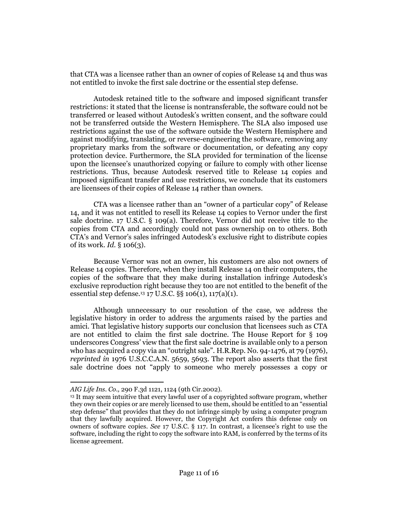that CTA was a licensee rather than an owner of copies of Release 14 and thus was not entitled to invoke the first sale doctrine or the essential step defense.

Autodesk retained title to the software and imposed significant transfer restrictions: it stated that the license is nontransferable, the software could not be transferred or leased without Autodesk's written consent, and the software could not be transferred outside the Western Hemisphere. The SLA also imposed use restrictions against the use of the software outside the Western Hemisphere and against modifying, translating, or reverse-engineering the software, removing any proprietary marks from the software or documentation, or defeating any copy protection device. Furthermore, the SLA provided for termination of the license upon the licensee's unauthorized copying or failure to comply with other license restrictions. Thus, because Autodesk reserved title to Release 14 copies and imposed significant transfer and use restrictions, we conclude that its customers are licensees of their copies of Release 14 rather than owners.

CTA was a licensee rather than an "owner of a particular copy" of Release 14, and it was not entitled to resell its Release 14 copies to Vernor under the first sale doctrine. 17 U.S.C.  $\S$  109(a). Therefore, Vernor did not receive title to the copies from CTA and accordingly could not pass ownership on to others. Both CTA's and Vernor's sales infringed Autodesk's exclusive right to distribute copies of its work. *Id.* [§ 106\(3\).](http://www.westlaw.com/Link/Document/FullText?findType=L&pubNum=1000546&cite=17USCAS106&originatingDoc=I30f3e343bcb011df89d8bf2e8566150b&refType=LQ&originationContext=document&vr=3.0&rs=cblt1.0&transitionType=DocumentItem&contextData=(sc.Default))

Because Vernor was not an owner, his customers are also not owners of Release 14 copies. Therefore, when they install Release 14 on their computers, the copies of the software that they make during installation infringe Autodesk's exclusive reproduction right because they too are not entitled to the benefit of the essential step defense.<sup>13</sup> [17 U.S.C. §§ 106\(1\),](http://www.westlaw.com/Link/Document/FullText?findType=L&pubNum=1000546&cite=17USCAS106&originatingDoc=I30f3e343bcb011df89d8bf2e8566150b&refType=RB&originationContext=document&vr=3.0&rs=cblt1.0&transitionType=DocumentItem&contextData=(sc.Default)#co_pp_f1c50000821b0) [117\(a\)\(1\).](http://www.westlaw.com/Link/Document/FullText?findType=L&pubNum=1000546&cite=17USCAS117&originatingDoc=I30f3e343bcb011df89d8bf2e8566150b&refType=RB&originationContext=document&vr=3.0&rs=cblt1.0&transitionType=DocumentItem&contextData=(sc.Default)#co_pp_7b9b000044381)

Although unnecessary to our resolution of the case, we address the legislative history in order to address the arguments raised by the parties and amici. That legislative history supports our conclusion that licensees such as CTA are not entitled to claim the first sale doctrine. The House Report for [§ 109](http://www.westlaw.com/Link/Document/FullText?findType=L&pubNum=1000546&cite=17USCAS109&originatingDoc=I30f3e343bcb011df89d8bf2e8566150b&refType=LQ&originationContext=document&vr=3.0&rs=cblt1.0&transitionType=DocumentItem&contextData=(sc.Default)) underscores Congress' view that the first sale doctrine is available only to a person who has acquired a copy via an "outright sale". [H.R.Rep. No. 94-1476, at 79 \(1976\),](http://www.westlaw.com/Link/Document/FullText?findType=Y&serNum=0100747631&pubNum=0100014&originatingDoc=I30f3e343bcb011df89d8bf2e8566150b&refType=TV&originationContext=document&vr=3.0&rs=cblt1.0&transitionType=DocumentItem&contextData=(sc.Default)) *reprinted in* 1976 U.S.C.C.A.N. 5659, 5693. The report also asserts that the first sale doctrine does not "apply to someone who merely possesses a copy or

 $\overline{\phantom{a}}$ 

*AIG Life Ins. Co.,* [290 F.3d 1121, 1124 \(9th Cir.2002\).](http://www.westlaw.com/Link/Document/FullText?findType=Y&serNum=2002312548&pubNum=506&originatingDoc=I30f3e343bcb011df89d8bf2e8566150b&refType=RP&fi=co_pp_sp_506_1124&originationContext=document&vr=3.0&rs=cblt1.0&transitionType=DocumentItem&contextData=(sc.Default)#co_pp_sp_506_1124)

<sup>13</sup> It may seem intuitive that every lawful user of a copyrighted software program, whether they own their copies or are merely licensed to use them, should be entitled to an "essential step defense" that provides that they do not infringe simply by using a computer program that they lawfully acquired. However, the Copyright Act confers this defense only on owners of software copies. *See* [17 U.S.C. § 117](http://www.westlaw.com/Link/Document/FullText?findType=L&pubNum=1000546&cite=17USCAS117&originatingDoc=I30f3e343bcb011df89d8bf2e8566150b&refType=LQ&originationContext=document&vr=3.0&rs=cblt1.0&transitionType=DocumentItem&contextData=(sc.Default)). In contrast, a licensee's right to use the software, including the right to copy the software into RAM, is conferred by the terms of its license agreement.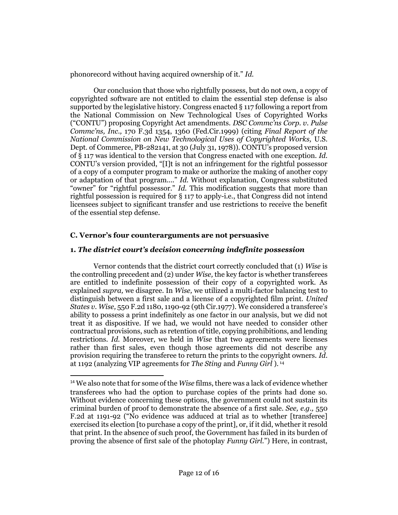phonorecord without having acquired ownership of it." *Id.*

Our conclusion that those who rightfully possess, but do not own, a copy of copyrighted software are not entitled to claim the essential step defense is also supported by the legislative history. Congress enacted [§ 117](http://www.westlaw.com/Link/Document/FullText?findType=L&pubNum=1000546&cite=17USCAS117&originatingDoc=I30f3e343bcb011df89d8bf2e8566150b&refType=LQ&originationContext=document&vr=3.0&rs=cblt1.0&transitionType=DocumentItem&contextData=(sc.Default)) following a report from the National Commission on New Technological Uses of Copyrighted Works ("CONTU") proposing Copyright Act amendments. *[DSC Commc'ns Corp. v. Pulse](http://www.westlaw.com/Link/Document/FullText?findType=Y&serNum=1999075047&pubNum=506&originatingDoc=I30f3e343bcb011df89d8bf2e8566150b&refType=RP&fi=co_pp_sp_506_1360&originationContext=document&vr=3.0&rs=cblt1.0&transitionType=DocumentItem&contextData=(sc.Default)#co_pp_sp_506_1360)  Commc'ns, Inc.,* [170 F.3d 1354, 1360 \(Fed.Cir.1999\)](http://www.westlaw.com/Link/Document/FullText?findType=Y&serNum=1999075047&pubNum=506&originatingDoc=I30f3e343bcb011df89d8bf2e8566150b&refType=RP&fi=co_pp_sp_506_1360&originationContext=document&vr=3.0&rs=cblt1.0&transitionType=DocumentItem&contextData=(sc.Default)#co_pp_sp_506_1360) (citing *Final Report of the National Commission on New Technological Uses of Copyrighted Works,* U.S. Dept. of Commerce, PB-282141, at 30 (July 31, 1978)). CONTU's proposed version of [§ 117](http://www.westlaw.com/Link/Document/FullText?findType=L&pubNum=1000546&cite=17USCAS117&originatingDoc=I30f3e343bcb011df89d8bf2e8566150b&refType=LQ&originationContext=document&vr=3.0&rs=cblt1.0&transitionType=DocumentItem&contextData=(sc.Default)) was identical to the version that Congress enacted with one exception. *[Id.](http://www.westlaw.com/Link/Document/FullText?findType=Y&serNum=1999075047&originatingDoc=I30f3e343bcb011df89d8bf2e8566150b&refType=RP&originationContext=document&vr=3.0&rs=cblt1.0&transitionType=DocumentItem&contextData=(sc.Default))* CONTU's version provided, "[I]t is not an infringement for the rightful possessor of a copy of a computer program to make or authorize the making of another copy or adaptation of that program...." *[Id.](http://www.westlaw.com/Link/Document/FullText?findType=Y&serNum=1999075047&originatingDoc=I30f3e343bcb011df89d8bf2e8566150b&refType=RP&originationContext=document&vr=3.0&rs=cblt1.0&transitionType=DocumentItem&contextData=(sc.Default))* Without explanation, Congress substituted "owner" for "rightful possessor." *[Id.](http://www.westlaw.com/Link/Document/FullText?findType=Y&serNum=1999075047&originatingDoc=I30f3e343bcb011df89d8bf2e8566150b&refType=RP&originationContext=document&vr=3.0&rs=cblt1.0&transitionType=DocumentItem&contextData=(sc.Default))* This modification suggests that more than rightful possession is required for [§ 117](http://www.westlaw.com/Link/Document/FullText?findType=L&pubNum=1000546&cite=17USCAS117&originatingDoc=I30f3e343bcb011df89d8bf2e8566150b&refType=LQ&originationContext=document&vr=3.0&rs=cblt1.0&transitionType=DocumentItem&contextData=(sc.Default)) to apply-i.e., that Congress did not intend licensees subject to significant transfer and use restrictions to receive the benefit of the essential step defense.

# **C. Vernor's four counterarguments are not persuasive**

 $\overline{a}$ 

# **1.** *The district court's decision concerning indefinite possession*

Vernor contends that the district court correctly concluded that (1) *[Wise](http://www.westlaw.com/Link/Document/FullText?findType=Y&serNum=1977104298&originatingDoc=I30f3e343bcb011df89d8bf2e8566150b&refType=RP&originationContext=document&vr=3.0&rs=cblt1.0&transitionType=DocumentItem&contextData=(sc.Default))* is the controlling precedent and (2) under *[Wise,](http://www.westlaw.com/Link/Document/FullText?findType=Y&serNum=1977104298&originatingDoc=I30f3e343bcb011df89d8bf2e8566150b&refType=RP&originationContext=document&vr=3.0&rs=cblt1.0&transitionType=DocumentItem&contextData=(sc.Default))* the key factor is whether transferees are entitled to indefinite possession of their copy of a copyrighted work. As explained *supra,* we disagree. In *[Wise,](http://www.westlaw.com/Link/Document/FullText?findType=Y&serNum=1977104298&originatingDoc=I30f3e343bcb011df89d8bf2e8566150b&refType=RP&originationContext=document&vr=3.0&rs=cblt1.0&transitionType=DocumentItem&contextData=(sc.Default))* we utilized a multi-factor balancing test to distinguish between a first sale and a license of a copyrighted film print. *[United](http://www.westlaw.com/Link/Document/FullText?findType=Y&serNum=1977104298&pubNum=350&originatingDoc=I30f3e343bcb011df89d8bf2e8566150b&refType=RP&fi=co_pp_sp_350_1190&originationContext=document&vr=3.0&rs=cblt1.0&transitionType=DocumentItem&contextData=(sc.Default)#co_pp_sp_350_1190)  States v. Wise,* [550 F.2d 1180, 1190-92 \(9th Cir.1977\)](http://www.westlaw.com/Link/Document/FullText?findType=Y&serNum=1977104298&pubNum=350&originatingDoc=I30f3e343bcb011df89d8bf2e8566150b&refType=RP&fi=co_pp_sp_350_1190&originationContext=document&vr=3.0&rs=cblt1.0&transitionType=DocumentItem&contextData=(sc.Default)#co_pp_sp_350_1190). We considered a transferee's ability to possess a print indefinitely as one factor in our analysis, but we did not treat it as dispositive. If we had, we would not have needed to consider other contractual provisions, such as retention of title, copying prohibitions, and lending restrictions. *[Id.](http://www.westlaw.com/Link/Document/FullText?findType=Y&serNum=1977104298&originatingDoc=I30f3e343bcb011df89d8bf2e8566150b&refType=RP&originationContext=document&vr=3.0&rs=cblt1.0&transitionType=DocumentItem&contextData=(sc.Default))* Moreover, we held in *[Wise](http://www.westlaw.com/Link/Document/FullText?findType=Y&serNum=1977104298&originatingDoc=I30f3e343bcb011df89d8bf2e8566150b&refType=RP&originationContext=document&vr=3.0&rs=cblt1.0&transitionType=DocumentItem&contextData=(sc.Default))* that two agreements were licenses rather than first sales, even though those agreements did not describe any provision requiring the transferee to return the prints to the copyright owners. *[Id.](http://www.westlaw.com/Link/Document/FullText?findType=Y&serNum=1977104298&originatingDoc=I30f3e343bcb011df89d8bf2e8566150b&refType=RP&originationContext=document&vr=3.0&rs=cblt1.0&transitionType=DocumentItem&contextData=(sc.Default))* [at 1192](http://www.westlaw.com/Link/Document/FullText?findType=Y&serNum=1977104298&originatingDoc=I30f3e343bcb011df89d8bf2e8566150b&refType=RP&originationContext=document&vr=3.0&rs=cblt1.0&transitionType=DocumentItem&contextData=(sc.Default)) (analyzing VIP agreements for *The Sting* and *Funny Girl* ). <sup>14</sup>

<sup>14</sup> We also note that for some of the *[Wise](http://www.westlaw.com/Link/Document/FullText?findType=Y&serNum=1977104298&originatingDoc=I30f3e343bcb011df89d8bf2e8566150b&refType=RP&originationContext=document&vr=3.0&rs=cblt1.0&transitionType=DocumentItem&contextData=(sc.Default))* films, there was a lack of evidence whether transferees who had the option to purchase copies of the prints had done so. Without evidence concerning these options, the government could not sustain its criminal burden of proof to demonstrate the absence of a first sale. *See, e.g.,* [550](http://www.westlaw.com/Link/Document/FullText?findType=Y&serNum=1977104298&pubNum=350&originatingDoc=I30f3e343bcb011df89d8bf2e8566150b&refType=RP&fi=co_pp_sp_350_1191&originationContext=document&vr=3.0&rs=cblt1.0&transitionType=DocumentItem&contextData=(sc.Default)#co_pp_sp_350_1191)  [F.2d at 1191-92](http://www.westlaw.com/Link/Document/FullText?findType=Y&serNum=1977104298&pubNum=350&originatingDoc=I30f3e343bcb011df89d8bf2e8566150b&refType=RP&fi=co_pp_sp_350_1191&originationContext=document&vr=3.0&rs=cblt1.0&transitionType=DocumentItem&contextData=(sc.Default)#co_pp_sp_350_1191) ("No evidence was adduced at trial as to whether [transferee] exercised its election [to purchase a copy of the print], or, if it did, whether it resold that print. In the absence of such proof, the Government has failed in its burden of proving the absence of first sale of the photoplay *Funny Girl.*") Here, in contrast,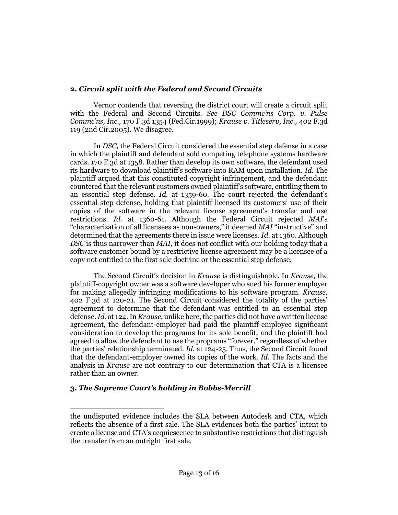# **2.** *Circuit split with the Federal and Second Circuits*

Vernor contends that reversing the district court will create a circuit split with the Federal and Second Circuits. *See [DSC Commc'ns Corp. v. Pulse](http://www.westlaw.com/Link/Document/FullText?findType=Y&serNum=1999075047&pubNum=506&originatingDoc=I30f3e343bcb011df89d8bf2e8566150b&refType=RP&originationContext=document&vr=3.0&rs=cblt1.0&transitionType=DocumentItem&contextData=(sc.Default))  Commc'ns, Inc.,* [170 F.3d 1354 \(Fed.Cir.1999\);](http://www.westlaw.com/Link/Document/FullText?findType=Y&serNum=1999075047&pubNum=506&originatingDoc=I30f3e343bcb011df89d8bf2e8566150b&refType=RP&originationContext=document&vr=3.0&rs=cblt1.0&transitionType=DocumentItem&contextData=(sc.Default)) *[Krause v. Titleserv, Inc.,](http://www.westlaw.com/Link/Document/FullText?findType=Y&serNum=2006364589&pubNum=506&originatingDoc=I30f3e343bcb011df89d8bf2e8566150b&refType=RP&originationContext=document&vr=3.0&rs=cblt1.0&transitionType=DocumentItem&contextData=(sc.Default))* 402 F.3d [119 \(2nd Cir.2005\).](http://www.westlaw.com/Link/Document/FullText?findType=Y&serNum=2006364589&pubNum=506&originatingDoc=I30f3e343bcb011df89d8bf2e8566150b&refType=RP&originationContext=document&vr=3.0&rs=cblt1.0&transitionType=DocumentItem&contextData=(sc.Default)) We disagree.

In *[DSC,](http://www.westlaw.com/Link/Document/FullText?findType=Y&serNum=1999075047&originatingDoc=I30f3e343bcb011df89d8bf2e8566150b&refType=RP&originationContext=document&vr=3.0&rs=cblt1.0&transitionType=DocumentItem&contextData=(sc.Default))* the Federal Circuit considered the essential step defense in a case in which the plaintiff and defendant sold competing telephone systems hardware cards. [170 F.3d at 1358.](http://www.westlaw.com/Link/Document/FullText?findType=Y&serNum=1999075047&pubNum=506&originatingDoc=I30f3e343bcb011df89d8bf2e8566150b&refType=RP&fi=co_pp_sp_506_1358&originationContext=document&vr=3.0&rs=cblt1.0&transitionType=DocumentItem&contextData=(sc.Default)#co_pp_sp_506_1358) Rather than develop its own software, the defendant used its hardware to download plaintiff's software into RAM upon installation. *[Id.](http://www.westlaw.com/Link/Document/FullText?findType=Y&serNum=1999075047&originatingDoc=I30f3e343bcb011df89d8bf2e8566150b&refType=RP&originationContext=document&vr=3.0&rs=cblt1.0&transitionType=DocumentItem&contextData=(sc.Default))* The plaintiff argued that this constituted copyright infringement, and the defendant countered that the relevant customers owned plaintiff's software, entitling them to an essential step defense. *Id.* [at 1359-60.](http://www.westlaw.com/Link/Document/FullText?findType=Y&serNum=1999075047&originatingDoc=I30f3e343bcb011df89d8bf2e8566150b&refType=RP&originationContext=document&vr=3.0&rs=cblt1.0&transitionType=DocumentItem&contextData=(sc.Default)) The court rejected the defendant's essential step defense, holding that plaintiff licensed its customers' use of their copies of the software in the relevant license agreement's transfer and use restrictions. *Id.* [at 1360-61.](http://www.westlaw.com/Link/Document/FullText?findType=Y&serNum=1999075047&originatingDoc=I30f3e343bcb011df89d8bf2e8566150b&refType=RP&originationContext=document&vr=3.0&rs=cblt1.0&transitionType=DocumentItem&contextData=(sc.Default)) Although the Federal Circuit rejected *[MAI](http://www.westlaw.com/Link/Document/FullText?findType=Y&serNum=1993084519&originatingDoc=I30f3e343bcb011df89d8bf2e8566150b&refType=RP&originationContext=document&vr=3.0&rs=cblt1.0&transitionType=DocumentItem&contextData=(sc.Default))*'s "characterization of all licensees as non-owners," it deemed *[MAI](http://www.westlaw.com/Link/Document/FullText?findType=Y&serNum=1993084519&originatingDoc=I30f3e343bcb011df89d8bf2e8566150b&refType=RP&originationContext=document&vr=3.0&rs=cblt1.0&transitionType=DocumentItem&contextData=(sc.Default))* "instructive" and determined that the agreements there in issue were licenses. *Id.* [at 1360.](http://www.westlaw.com/Link/Document/FullText?findType=Y&serNum=1999075047&originatingDoc=I30f3e343bcb011df89d8bf2e8566150b&refType=RP&originationContext=document&vr=3.0&rs=cblt1.0&transitionType=DocumentItem&contextData=(sc.Default)) Although *[DSC](http://www.westlaw.com/Link/Document/FullText?findType=Y&serNum=1999075047&originatingDoc=I30f3e343bcb011df89d8bf2e8566150b&refType=RP&originationContext=document&vr=3.0&rs=cblt1.0&transitionType=DocumentItem&contextData=(sc.Default))* is thus narrower than *[MAI,](http://www.westlaw.com/Link/Document/FullText?findType=Y&serNum=1993084519&originatingDoc=I30f3e343bcb011df89d8bf2e8566150b&refType=RP&originationContext=document&vr=3.0&rs=cblt1.0&transitionType=DocumentItem&contextData=(sc.Default))* it does not conflict with our holding today that a software customer bound by a restrictive license agreement may be a licensee of a copy not entitled to the first sale doctrine or the essential step defense.

The Second Circuit's decision in *[Krause](http://www.westlaw.com/Link/Document/FullText?findType=Y&serNum=2006364589&originatingDoc=I30f3e343bcb011df89d8bf2e8566150b&refType=RP&originationContext=document&vr=3.0&rs=cblt1.0&transitionType=DocumentItem&contextData=(sc.Default))* is distinguishable. In *[Krause,](http://www.westlaw.com/Link/Document/FullText?findType=Y&serNum=2006364589&originatingDoc=I30f3e343bcb011df89d8bf2e8566150b&refType=RP&originationContext=document&vr=3.0&rs=cblt1.0&transitionType=DocumentItem&contextData=(sc.Default))* the plaintiff-copyright owner was a software developer who sued his former employer for making allegedly infringing modifications to his software program. *[Krause,](http://www.westlaw.com/Link/Document/FullText?findType=Y&serNum=2006364589&pubNum=506&originatingDoc=I30f3e343bcb011df89d8bf2e8566150b&refType=RP&fi=co_pp_sp_506_120&originationContext=document&vr=3.0&rs=cblt1.0&transitionType=DocumentItem&contextData=(sc.Default)#co_pp_sp_506_120)* [402 F.3d at 120-21.](http://www.westlaw.com/Link/Document/FullText?findType=Y&serNum=2006364589&pubNum=506&originatingDoc=I30f3e343bcb011df89d8bf2e8566150b&refType=RP&fi=co_pp_sp_506_120&originationContext=document&vr=3.0&rs=cblt1.0&transitionType=DocumentItem&contextData=(sc.Default)#co_pp_sp_506_120) The Second Circuit considered the totality of the parties' agreement to determine that the defendant was entitled to an essential step defense. *Id.* [at 124.I](http://www.westlaw.com/Link/Document/FullText?findType=Y&serNum=2006364589&originatingDoc=I30f3e343bcb011df89d8bf2e8566150b&refType=RP&originationContext=document&vr=3.0&rs=cblt1.0&transitionType=DocumentItem&contextData=(sc.Default))n *[Krause,](http://www.westlaw.com/Link/Document/FullText?findType=Y&serNum=2006364589&originatingDoc=I30f3e343bcb011df89d8bf2e8566150b&refType=RP&originationContext=document&vr=3.0&rs=cblt1.0&transitionType=DocumentItem&contextData=(sc.Default))* unlike here, the parties did not have a written license agreement, the defendant-employer had paid the plaintiff-employee significant consideration to develop the programs for its sole benefit, and the plaintiff had agreed to allow the defendant to use the programs "forever," regardless of whether the parties' relationship terminated. *Id.* [at 124-25.](http://www.westlaw.com/Link/Document/FullText?findType=Y&serNum=2006364589&originatingDoc=I30f3e343bcb011df89d8bf2e8566150b&refType=RP&originationContext=document&vr=3.0&rs=cblt1.0&transitionType=DocumentItem&contextData=(sc.Default)) Thus, the Second Circuit found that the defendant-employer owned its copies of the work. *[Id.](http://www.westlaw.com/Link/Document/FullText?findType=Y&serNum=2006364589&originatingDoc=I30f3e343bcb011df89d8bf2e8566150b&refType=RP&originationContext=document&vr=3.0&rs=cblt1.0&transitionType=DocumentItem&contextData=(sc.Default))* The facts and the analysis in *[Krause](http://www.westlaw.com/Link/Document/FullText?findType=Y&serNum=2006364589&originatingDoc=I30f3e343bcb011df89d8bf2e8566150b&refType=RP&originationContext=document&vr=3.0&rs=cblt1.0&transitionType=DocumentItem&contextData=(sc.Default))* are not contrary to our determination that CTA is a licensee rather than an owner.

# **3.** *The Supreme Court's holding in Bobbs-Merrill*

 $\overline{\phantom{a}}$ 

the undisputed evidence includes the SLA between Autodesk and CTA, which reflects the absence of a first sale. The SLA evidences both the parties' intent to create a license and CTA's acquiescence to substantive restrictions that distinguish the transfer from an outright first sale.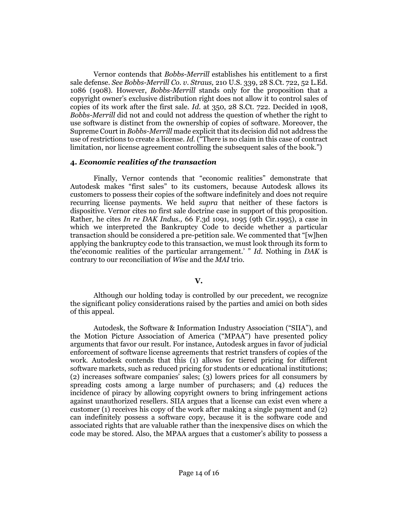Vernor contends that *[Bobbs-Merrill](http://www.westlaw.com/Link/Document/FullText?findType=Y&serNum=1908100341&originatingDoc=I30f3e343bcb011df89d8bf2e8566150b&refType=RP&originationContext=document&vr=3.0&rs=cblt1.0&transitionType=DocumentItem&contextData=(sc.Default))* establishes his entitlement to a first sale defense. *See Bobbs-Merrill Co. v. Straus,* [210 U.S. 339, 28 S.Ct. 722, 52 L.Ed.](http://www.westlaw.com/Link/Document/FullText?findType=Y&serNum=1908100341&pubNum=708&originatingDoc=I30f3e343bcb011df89d8bf2e8566150b&refType=RP&originationContext=document&vr=3.0&rs=cblt1.0&transitionType=DocumentItem&contextData=(sc.Default))  [1086 \(1908\).](http://www.westlaw.com/Link/Document/FullText?findType=Y&serNum=1908100341&pubNum=708&originatingDoc=I30f3e343bcb011df89d8bf2e8566150b&refType=RP&originationContext=document&vr=3.0&rs=cblt1.0&transitionType=DocumentItem&contextData=(sc.Default)) However, *[Bobbs-Merrill](http://www.westlaw.com/Link/Document/FullText?findType=Y&serNum=1908100341&originatingDoc=I30f3e343bcb011df89d8bf2e8566150b&refType=RP&originationContext=document&vr=3.0&rs=cblt1.0&transitionType=DocumentItem&contextData=(sc.Default))* stands only for the proposition that a copyright owner's exclusive distribution right does not allow it to control sales of copies of its work after the first sale. *Id.* [at 350, 28 S.Ct. 722.](http://www.westlaw.com/Link/Document/FullText?findType=Y&serNum=1908100341&pubNum=708&originatingDoc=I30f3e343bcb011df89d8bf2e8566150b&refType=RP&originationContext=document&vr=3.0&rs=cblt1.0&transitionType=DocumentItem&contextData=(sc.Default)) Decided in 1908, *[Bobbs-Merrill](http://www.westlaw.com/Link/Document/FullText?findType=Y&serNum=1908100341&originatingDoc=I30f3e343bcb011df89d8bf2e8566150b&refType=RP&originationContext=document&vr=3.0&rs=cblt1.0&transitionType=DocumentItem&contextData=(sc.Default))* did not and could not address the question of whether the right to use software is distinct from the ownership of copies of software. Moreover, the Supreme Court in *[Bobbs-Merrill](http://www.westlaw.com/Link/Document/FullText?findType=Y&serNum=1908100341&originatingDoc=I30f3e343bcb011df89d8bf2e8566150b&refType=RP&originationContext=document&vr=3.0&rs=cblt1.0&transitionType=DocumentItem&contextData=(sc.Default))* made explicit that its decision did not address the use of restrictions to create a license. *[Id.](http://www.westlaw.com/Link/Document/FullText?findType=Y&serNum=1908100341&originatingDoc=I30f3e343bcb011df89d8bf2e8566150b&refType=RP&originationContext=document&vr=3.0&rs=cblt1.0&transitionType=DocumentItem&contextData=(sc.Default))* ("There is no claim in this case of contract limitation, nor license agreement controlling the subsequent sales of the book.")

## **4.** *Economic realities of the transaction*

Finally, Vernor contends that "economic realities" demonstrate that Autodesk makes "first sales" to its customers, because Autodesk allows its customers to possess their copies of the software indefinitely and does not require recurring license payments. We held *supra* that neither of these factors is dispositive. Vernor cites no first sale doctrine case in support of this proposition. Rather, he cites *In re DAK Indus.,* [66 F.3d 1091, 1095 \(9th Cir.1995\),](http://www.westlaw.com/Link/Document/FullText?findType=Y&serNum=1995196536&pubNum=506&originatingDoc=I30f3e343bcb011df89d8bf2e8566150b&refType=RP&fi=co_pp_sp_506_1095&originationContext=document&vr=3.0&rs=cblt1.0&transitionType=DocumentItem&contextData=(sc.Default)#co_pp_sp_506_1095) a case in which we interpreted the Bankruptcy Code to decide whether a particular transaction should be considered a pre-petition sale. We commented that "[w]hen applying the bankruptcy code to this transaction, we must look through its form to the'economic realities of the particular arrangement.' " *[Id.](http://www.westlaw.com/Link/Document/FullText?findType=Y&serNum=1995196536&originatingDoc=I30f3e343bcb011df89d8bf2e8566150b&refType=RP&originationContext=document&vr=3.0&rs=cblt1.0&transitionType=DocumentItem&contextData=(sc.Default))* Nothing in *[DAK](http://www.westlaw.com/Link/Document/FullText?findType=Y&serNum=1995196536&originatingDoc=I30f3e343bcb011df89d8bf2e8566150b&refType=RP&originationContext=document&vr=3.0&rs=cblt1.0&transitionType=DocumentItem&contextData=(sc.Default))* is contrary to our reconciliation of *[Wise](http://www.westlaw.com/Link/Document/FullText?findType=Y&serNum=1977104298&originatingDoc=I30f3e343bcb011df89d8bf2e8566150b&refType=RP&originationContext=document&vr=3.0&rs=cblt1.0&transitionType=DocumentItem&contextData=(sc.Default))* and the *[MAI](http://www.westlaw.com/Link/Document/FullText?findType=Y&serNum=1993084519&originatingDoc=I30f3e343bcb011df89d8bf2e8566150b&refType=RP&originationContext=document&vr=3.0&rs=cblt1.0&transitionType=DocumentItem&contextData=(sc.Default))* trio.

**V.**

Although our holding today is controlled by our precedent, we recognize the significant policy considerations raised by the parties and amici on both sides of this appeal.

Autodesk, the Software & Information Industry Association ("SIIA"), and the Motion Picture Association of America ("MPAA") have presented policy arguments that favor our result. For instance, Autodesk argues in favor of judicial enforcement of software license agreements that restrict transfers of copies of the work. Autodesk contends that this (1) allows for tiered pricing for different software markets, such as reduced pricing for students or educational institutions; (2) increases software companies' sales; (3) lowers prices for all consumers by spreading costs among a large number of purchasers; and (4) reduces the incidence of piracy by allowing copyright owners to bring infringement actions against unauthorized resellers. SIIA argues that a license can exist even where a customer (1) receives his copy of the work after making a single payment and (2) can indefinitely possess a software copy, because it is the software code and associated rights that are valuable rather than the inexpensive discs on which the code may be stored. Also, the MPAA argues that a customer's ability to possess a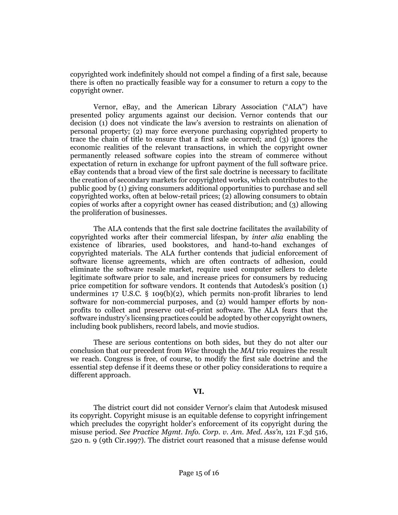copyrighted work indefinitely should not compel a finding of a first sale, because there is often no practically feasible way for a consumer to return a copy to the copyright owner.

Vernor, eBay, and the American Library Association ("ALA") have presented policy arguments against our decision. Vernor contends that our decision (1) does not vindicate the law's aversion to restraints on alienation of personal property; (2) may force everyone purchasing copyrighted property to trace the chain of title to ensure that a first sale occurred; and (3) ignores the economic realities of the relevant transactions, in which the copyright owner permanently released software copies into the stream of commerce without expectation of return in exchange for upfront payment of the full software price. eBay contends that a broad view of the first sale doctrine is necessary to facilitate the creation of secondary markets for copyrighted works, which contributes to the public good by (1) giving consumers additional opportunities to purchase and sell copyrighted works, often at below-retail prices; (2) allowing consumers to obtain copies of works after a copyright owner has ceased distribution; and (3) allowing the proliferation of businesses.

The ALA contends that the first sale doctrine facilitates the availability of copyrighted works after their commercial lifespan, by *inter alia* enabling the existence of libraries, used bookstores, and hand-to-hand exchanges of copyrighted materials. The ALA further contends that judicial enforcement of software license agreements, which are often contracts of adhesion, could eliminate the software resale market, require used computer sellers to delete legitimate software prior to sale, and increase prices for consumers by reducing price competition for software vendors. It contends that Autodesk's position (1) undermines [17 U.S.C. § 109\(b\)\(2\),](http://www.westlaw.com/Link/Document/FullText?findType=L&pubNum=1000546&cite=17USCAS109&originatingDoc=I30f3e343bcb011df89d8bf2e8566150b&refType=RB&originationContext=document&vr=3.0&rs=cblt1.0&transitionType=DocumentItem&contextData=(sc.Default)#co_pp_c0ae00006c482) which permits non-profit libraries to lend software for non-commercial purposes, and (2) would hamper efforts by nonprofits to collect and preserve out-of-print software. The ALA fears that the software industry's licensing practices could be adopted by other copyright owners, including book publishers, record labels, and movie studios.

These are serious contentions on both sides, but they do not alter our conclusion that our precedent from *[Wise](http://www.westlaw.com/Link/Document/FullText?findType=Y&serNum=1977104298&originatingDoc=I30f3e343bcb011df89d8bf2e8566150b&refType=RP&originationContext=document&vr=3.0&rs=cblt1.0&transitionType=DocumentItem&contextData=(sc.Default))* through the *[MAI](http://www.westlaw.com/Link/Document/FullText?findType=Y&serNum=1993084519&originatingDoc=I30f3e343bcb011df89d8bf2e8566150b&refType=RP&originationContext=document&vr=3.0&rs=cblt1.0&transitionType=DocumentItem&contextData=(sc.Default))* trio requires the result we reach. Congress is free, of course, to modify the first sale doctrine and the essential step defense if it deems these or other policy considerations to require a different approach.

## **VI.**

The district court did not consider Vernor's claim that Autodesk misused its copyright. Copyright misuse is an equitable defense to copyright infringement which precludes the copyright holder's enforcement of its copyright during the misuse period. *See [Practice Mgmt. Info. Corp. v. Am. Med. Ass'n,](http://www.westlaw.com/Link/Document/FullText?findType=Y&serNum=1997165253&pubNum=506&originatingDoc=I30f3e343bcb011df89d8bf2e8566150b&refType=RP&fi=co_pp_sp_506_520&originationContext=document&vr=3.0&rs=cblt1.0&transitionType=DocumentItem&contextData=(sc.Default)#co_pp_sp_506_520)* 121 F.3d 516, [520 n. 9 \(9th Cir.1997\).](http://www.westlaw.com/Link/Document/FullText?findType=Y&serNum=1997165253&pubNum=506&originatingDoc=I30f3e343bcb011df89d8bf2e8566150b&refType=RP&fi=co_pp_sp_506_520&originationContext=document&vr=3.0&rs=cblt1.0&transitionType=DocumentItem&contextData=(sc.Default)#co_pp_sp_506_520) The district court reasoned that a misuse defense would